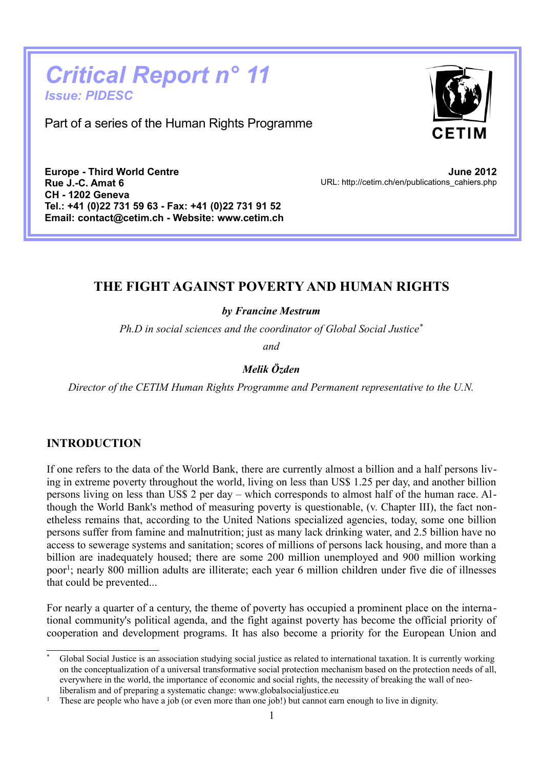# *Critical Report n° 11 Issue: PIDESC*

Part of a series of the Human Rights Programme



**Europe - Third World Centre Rue J.-C. Amat 6 CH - 1202 Geneva Tel.: +41 (0)22 731 59 63 - Fax: +41 (0)22 731 91 52 Email: contact@cetim.ch - Website: www.cetim.ch**

**June 2012** URL: http://cetim.ch/en/publications\_cahiers.php

# **THE FIGHT AGAINST POVERTY AND HUMAN RIGHTS**

*by Francine Mestrum*

*Ph.D in social sciences and the coordinator of Global Social Justice[\\*](#page-0-0)*

*and*

## *Melik Özden*

*Director of the CETIM Human Rights Programme and Permanent representative to the U.N.*

#### **INTRODUCTION**

If one refers to the data of the World Bank, there are currently almost a billion and a half persons living in extreme poverty throughout the world, living on less than US\$ 1.25 per day, and another billion persons living on less than US\$ 2 per day – which corresponds to almost half of the human race. Although the World Bank's method of measuring poverty is questionable, (v. Chapter III), the fact nonetheless remains that, according to the United Nations specialized agencies, today, some one billion persons suffer from famine and malnutrition; just as many lack drinking water, and 2.5 billion have no access to sewerage systems and sanitation; scores of millions of persons lack housing, and more than a billion are inadequately housed; there are some 200 million unemployed and 900 million working poor<sup>[1](#page-0-1)</sup>; nearly 800 million adults are illiterate; each year 6 million children under five die of illnesses that could be prevented...

For nearly a quarter of a century, the theme of poverty has occupied a prominent place on the international community's political agenda, and the fight against poverty has become the official priority of cooperation and development programs. It has also become a priority for the European Union and

<span id="page-0-0"></span>Global Social Justice is an association studying social justice as related to international taxation. It is currently working on the conceptualization of a universal transformative social protection mechanism based on the protection needs of all, everywhere in the world, the importance of economic and social rights, the necessity of breaking the wall of neoliberalism and of preparing a systematic change: www.globalsocialjustice.eu

<span id="page-0-1"></span><sup>&</sup>lt;sup>1</sup> These are people who have a job (or even more than one job!) but cannot earn enough to live in dignity.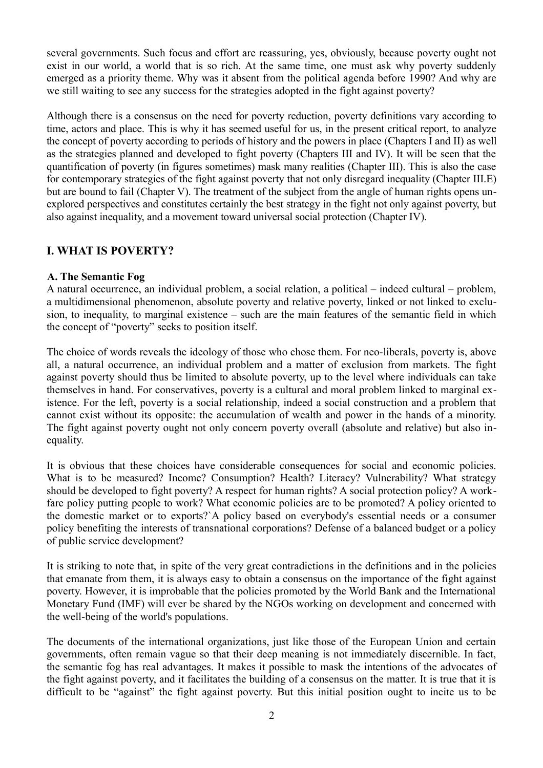several governments. Such focus and effort are reassuring, yes, obviously, because poverty ought not exist in our world, a world that is so rich. At the same time, one must ask why poverty suddenly emerged as a priority theme. Why was it absent from the political agenda before 1990? And why are we still waiting to see any success for the strategies adopted in the fight against poverty?

Although there is a consensus on the need for poverty reduction, poverty definitions vary according to time, actors and place. This is why it has seemed useful for us, in the present critical report, to analyze the concept of poverty according to periods of history and the powers in place (Chapters I and II) as well as the strategies planned and developed to fight poverty (Chapters III and IV). It will be seen that the quantification of poverty (in figures sometimes) mask many realities (Chapter III). This is also the case for contemporary strategies of the fight against poverty that not only disregard inequality (Chapter III.E) but are bound to fail (Chapter V). The treatment of the subject from the angle of human rights opens unexplored perspectives and constitutes certainly the best strategy in the fight not only against poverty, but also against inequality, and a movement toward universal social protection (Chapter IV).

## **I. WHAT IS POVERTY?**

#### **A. The Semantic Fog**

A natural occurrence, an individual problem, a social relation, a political – indeed cultural – problem, a multidimensional phenomenon, absolute poverty and relative poverty, linked or not linked to exclusion, to inequality, to marginal existence – such are the main features of the semantic field in which the concept of "poverty" seeks to position itself.

The choice of words reveals the ideology of those who chose them. For neo-liberals, poverty is, above all, a natural occurrence, an individual problem and a matter of exclusion from markets. The fight against poverty should thus be limited to absolute poverty, up to the level where individuals can take themselves in hand. For conservatives, poverty is a cultural and moral problem linked to marginal existence. For the left, poverty is a social relationship, indeed a social construction and a problem that cannot exist without its opposite: the accumulation of wealth and power in the hands of a minority. The fight against poverty ought not only concern poverty overall (absolute and relative) but also inequality.

It is obvious that these choices have considerable consequences for social and economic policies. What is to be measured? Income? Consumption? Health? Literacy? Vulnerability? What strategy should be developed to fight poverty? A respect for human rights? A social protection policy? A workfare policy putting people to work? What economic policies are to be promoted? A policy oriented to the domestic market or to exports?`A policy based on everybody's essential needs or a consumer policy benefiting the interests of transnational corporations? Defense of a balanced budget or a policy of public service development?

It is striking to note that, in spite of the very great contradictions in the definitions and in the policies that emanate from them, it is always easy to obtain a consensus on the importance of the fight against poverty. However, it is improbable that the policies promoted by the World Bank and the International Monetary Fund (IMF) will ever be shared by the NGOs working on development and concerned with the well-being of the world's populations.

The documents of the international organizations, just like those of the European Union and certain governments, often remain vague so that their deep meaning is not immediately discernible. In fact, the semantic fog has real advantages. It makes it possible to mask the intentions of the advocates of the fight against poverty, and it facilitates the building of a consensus on the matter. It is true that it is difficult to be "against" the fight against poverty. But this initial position ought to incite us to be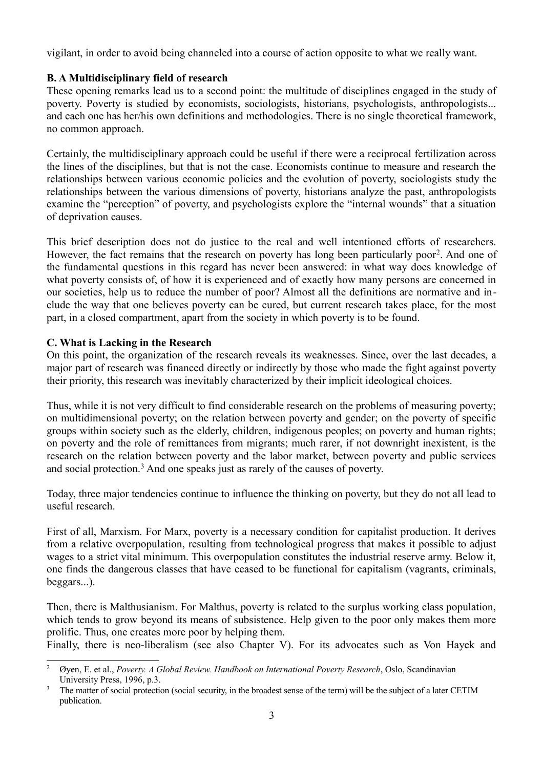vigilant, in order to avoid being channeled into a course of action opposite to what we really want.

## **B. A Multidisciplinary field of research**

These opening remarks lead us to a second point: the multitude of disciplines engaged in the study of poverty. Poverty is studied by economists, sociologists, historians, psychologists, anthropologists... and each one has her/his own definitions and methodologies. There is no single theoretical framework, no common approach.

Certainly, the multidisciplinary approach could be useful if there were a reciprocal fertilization across the lines of the disciplines, but that is not the case. Economists continue to measure and research the relationships between various economic policies and the evolution of poverty, sociologists study the relationships between the various dimensions of poverty, historians analyze the past, anthropologists examine the "perception" of poverty, and psychologists explore the "internal wounds" that a situation of deprivation causes.

This brief description does not do justice to the real and well intentioned efforts of researchers. However, the fact remains that the research on poverty has long been particularly poor<sup>[2](#page-2-0)</sup>. And one of the fundamental questions in this regard has never been answered: in what way does knowledge of what poverty consists of, of how it is experienced and of exactly how many persons are concerned in our societies, help us to reduce the number of poor? Almost all the definitions are normative and include the way that one believes poverty can be cured, but current research takes place, for the most part, in a closed compartment, apart from the society in which poverty is to be found.

## **C. What is Lacking in the Research**

On this point, the organization of the research reveals its weaknesses. Since, over the last decades, a major part of research was financed directly or indirectly by those who made the fight against poverty their priority, this research was inevitably characterized by their implicit ideological choices.

Thus, while it is not very difficult to find considerable research on the problems of measuring poverty; on multidimensional poverty; on the relation between poverty and gender; on the poverty of specific groups within society such as the elderly, children, indigenous peoples; on poverty and human rights; on poverty and the role of remittances from migrants; much rarer, if not downright inexistent, is the research on the relation between poverty and the labor market, between poverty and public services and social protection.<sup>[3](#page-2-1)</sup> And one speaks just as rarely of the causes of poverty.

Today, three major tendencies continue to influence the thinking on poverty, but they do not all lead to useful research.

First of all, Marxism. For Marx, poverty is a necessary condition for capitalist production. It derives from a relative overpopulation, resulting from technological progress that makes it possible to adjust wages to a strict vital minimum. This overpopulation constitutes the industrial reserve army. Below it, one finds the dangerous classes that have ceased to be functional for capitalism (vagrants, criminals, beggars...).

Then, there is Malthusianism. For Malthus, poverty is related to the surplus working class population, which tends to grow beyond its means of subsistence. Help given to the poor only makes them more prolific. Thus, one creates more poor by helping them.

Finally, there is neo-liberalism (see also Chapter V). For its advocates such as Von Hayek and

<span id="page-2-0"></span><sup>2</sup> Øyen, E. et al., *Poverty. A Global Review. Handbook on International Poverty Research*, Oslo, Scandinavian University Press, 1996, p.3.

<span id="page-2-1"></span><sup>&</sup>lt;sup>3</sup> The matter of social protection (social security, in the broadest sense of the term) will be the subject of a later CETIM publication.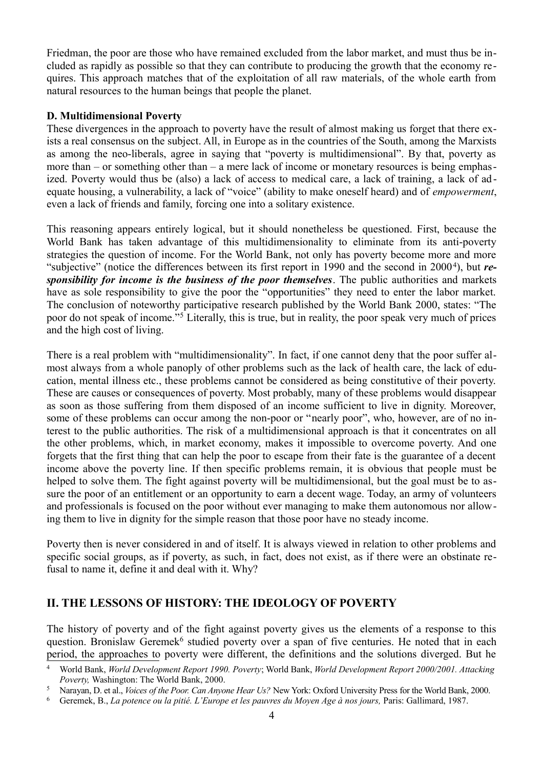Friedman, the poor are those who have remained excluded from the labor market, and must thus be included as rapidly as possible so that they can contribute to producing the growth that the economy requires. This approach matches that of the exploitation of all raw materials, of the whole earth from natural resources to the human beings that people the planet.

#### **D. Multidimensional Poverty**

These divergences in the approach to poverty have the result of almost making us forget that there exists a real consensus on the subject. All, in Europe as in the countries of the South, among the Marxists as among the neo-liberals, agree in saying that "poverty is multidimensional". By that, poverty as more than – or something other than – a mere lack of income or monetary resources is being emphasized. Poverty would thus be (also) a lack of access to medical care, a lack of training, a lack of ad equate housing, a vulnerability, a lack of "voice" (ability to make oneself heard) and of *empowerment*, even a lack of friends and family, forcing one into a solitary existence.

This reasoning appears entirely logical, but it should nonetheless be questioned. First, because the World Bank has taken advantage of this multidimensionality to eliminate from its anti-poverty strategies the question of income. For the World Bank, not only has poverty become more and more "subjective" (notice the differences between its first report in 1990 and the second in 2000<sup>[4](#page-3-0)</sup>), but *responsibility for income is the business of the poor themselves*. The public authorities and markets have as sole responsibility to give the poor the "opportunities" they need to enter the labor market. The conclusion of noteworthy participative research published by the World Bank 2000, states: "The poor do not speak of income."[5](#page-3-1) Literally, this is true, but in reality, the poor speak very much of prices and the high cost of living.

There is a real problem with "multidimensionality". In fact, if one cannot deny that the poor suffer almost always from a whole panoply of other problems such as the lack of health care, the lack of education, mental illness etc., these problems cannot be considered as being constitutive of their poverty. These are causes or consequences of poverty. Most probably, many of these problems would disappear as soon as those suffering from them disposed of an income sufficient to live in dignity. Moreover, some of these problems can occur among the non-poor or "nearly poor", who, however, are of no interest to the public authorities. The risk of a multidimensional approach is that it concentrates on all the other problems, which, in market economy, makes it impossible to overcome poverty. And one forgets that the first thing that can help the poor to escape from their fate is the guarantee of a decent income above the poverty line. If then specific problems remain, it is obvious that people must be helped to solve them. The fight against poverty will be multidimensional, but the goal must be to assure the poor of an entitlement or an opportunity to earn a decent wage. Today, an army of volunteers and professionals is focused on the poor without ever managing to make them autonomous nor allowing them to live in dignity for the simple reason that those poor have no steady income.

Poverty then is never considered in and of itself. It is always viewed in relation to other problems and specific social groups, as if poverty, as such, in fact, does not exist, as if there were an obstinate refusal to name it, define it and deal with it. Why?

## **II. THE LESSONS OF HISTORY: THE IDEOLOGY OF POVERTY**

The history of poverty and of the fight against poverty gives us the elements of a response to this question. Bronislaw Geremek<sup>[6](#page-3-2)</sup> studied poverty over a span of five centuries. He noted that in each period, the approaches to poverty were different, the definitions and the solutions diverged. But he

<span id="page-3-0"></span><sup>4</sup> World Bank, *World Development Report 1990. Poverty*; World Bank, *World Development Report 2000/2001. Attacking Poverty,* Washington: The World Bank, 2000.

<span id="page-3-1"></span><sup>5</sup> Narayan, D. et al., *Voices of the Poor. Can Anyone Hear Us?* New York: Oxford University Press for the World Bank, 2000.

<span id="page-3-2"></span><sup>6</sup> Geremek, B., *La potence ou la pitié. L'Europe et les pauvres du Moyen Age à nos jours,* Paris: Gallimard, 1987.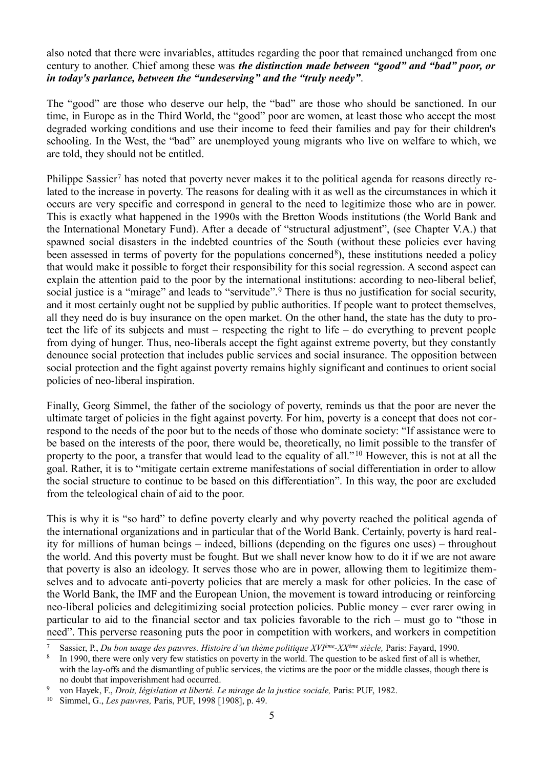also noted that there were invariables, attitudes regarding the poor that remained unchanged from one century to another. Chief among these was *the distinction made between "good" and "bad" poor, or in today's parlance, between the "undeserving" and the "truly needy"*.

The "good" are those who deserve our help, the "bad" are those who should be sanctioned. In our time, in Europe as in the Third World, the "good" poor are women, at least those who accept the most degraded working conditions and use their income to feed their families and pay for their children's schooling. In the West, the "bad" are unemployed young migrants who live on welfare to which, we are told, they should not be entitled.

Philippe Sassier<sup>[7](#page-4-0)</sup> has noted that poverty never makes it to the political agenda for reasons directly related to the increase in poverty. The reasons for dealing with it as well as the circumstances in which it occurs are very specific and correspond in general to the need to legitimize those who are in power. This is exactly what happened in the 1990s with the Bretton Woods institutions (the World Bank and the International Monetary Fund). After a decade of "structural adjustment", (see Chapter V.A.) that spawned social disasters in the indebted countries of the South (without these policies ever having been assessed in terms of poverty for the populations concerned<sup>[8](#page-4-1)</sup>), these institutions needed a policy that would make it possible to forget their responsibility for this social regression. A second aspect can explain the attention paid to the poor by the international institutions: according to neo-liberal belief, social justice is a "mirage" and leads to "servitude".<sup>[9](#page-4-2)</sup> There is thus no justification for social security, and it most certainly ought not be supplied by public authorities. If people want to protect themselves, all they need do is buy insurance on the open market. On the other hand, the state has the duty to protect the life of its subjects and must – respecting the right to life – do everything to prevent people from dying of hunger. Thus, neo-liberals accept the fight against extreme poverty, but they constantly denounce social protection that includes public services and social insurance. The opposition between social protection and the fight against poverty remains highly significant and continues to orient social policies of neo-liberal inspiration.

Finally, Georg Simmel, the father of the sociology of poverty, reminds us that the poor are never the ultimate target of policies in the fight against poverty. For him, poverty is a concept that does not correspond to the needs of the poor but to the needs of those who dominate society: "If assistance were to be based on the interests of the poor, there would be, theoretically, no limit possible to the transfer of property to the poor, a transfer that would lead to the equality of all."[10](#page-4-3) However, this is not at all the goal. Rather, it is to "mitigate certain extreme manifestations of social differentiation in order to allow the social structure to continue to be based on this differentiation". In this way, the poor are excluded from the teleological chain of aid to the poor.

This is why it is "so hard" to define poverty clearly and why poverty reached the political agenda of the international organizations and in particular that of the World Bank. Certainly, poverty is hard reality for millions of human beings – indeed, billions (depending on the figures one uses) – throughout the world. And this poverty must be fought. But we shall never know how to do it if we are not aware that poverty is also an ideology. It serves those who are in power, allowing them to legitimize themselves and to advocate anti-poverty policies that are merely a mask for other policies. In the case of the World Bank, the IMF and the European Union, the movement is toward introducing or reinforcing neo-liberal policies and delegitimizing social protection policies. Public money – ever rarer owing in particular to aid to the financial sector and tax policies favorable to the rich – must go to "those in need". This perverse reasoning puts the poor in competition with workers, and workers in competition

<span id="page-4-0"></span><sup>7</sup> Sassier, P., *Du bon usage des pauvres. Histoire d'un thème politique XVIème-XXème siècle,* Paris: Fayard, 1990.

<span id="page-4-1"></span><sup>8</sup> In 1990, there were only very few statistics on poverty in the world. The question to be asked first of all is whether, with the lay-offs and the dismantling of public services, the victims are the poor or the middle classes, though there is no doubt that impoverishment had occurred.

<span id="page-4-2"></span><sup>9</sup> von Hayek, F., *Droit, législation et liberté. Le mirage de la justice sociale,* Paris: PUF, 1982.

<span id="page-4-3"></span><sup>10</sup> Simmel, G., *Les pauvres,* Paris, PUF, 1998 [1908], p. 49.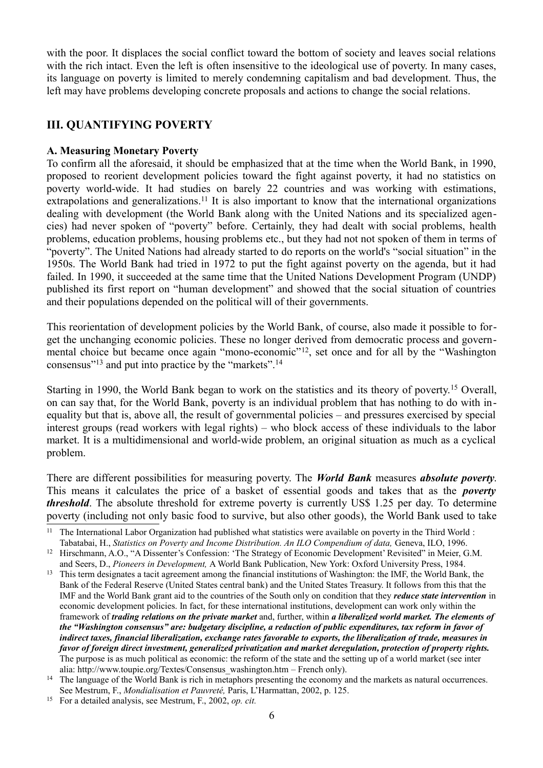with the poor. It displaces the social conflict toward the bottom of society and leaves social relations with the rich intact. Even the left is often insensitive to the ideological use of poverty. In many cases, its language on poverty is limited to merely condemning capitalism and bad development. Thus, the left may have problems developing concrete proposals and actions to change the social relations.

## **III. QUANTIFYING POVERTY**

#### **A. Measuring Monetary Poverty**

To confirm all the aforesaid, it should be emphasized that at the time when the World Bank, in 1990, proposed to reorient development policies toward the fight against poverty, it had no statistics on poverty world-wide. It had studies on barely 22 countries and was working with estimations, extrapolations and generalizations.<sup>[11](#page-5-0)</sup> It is also important to know that the international organizations dealing with development (the World Bank along with the United Nations and its specialized agencies) had never spoken of "poverty" before. Certainly, they had dealt with social problems, health problems, education problems, housing problems etc., but they had not not spoken of them in terms of "poverty". The United Nations had already started to do reports on the world's "social situation" in the 1950s. The World Bank had tried in 1972 to put the fight against poverty on the agenda, but it had failed. In 1990, it succeeded at the same time that the United Nations Development Program (UNDP) published its first report on "human development" and showed that the social situation of countries and their populations depended on the political will of their governments.

This reorientation of development policies by the World Bank, of course, also made it possible to forget the unchanging economic policies. These no longer derived from democratic process and govern-mental choice but became once again "mono-economic"<sup>[12](#page-5-1)</sup>, set once and for all by the "Washington" consensus"[13](#page-5-2) and put into practice by the "markets".[14](#page-5-3)

Starting in 1990, the World Bank began to work on the statistics and its theory of poverty.[15](#page-5-4) Overall, on can say that, for the World Bank, poverty is an individual problem that has nothing to do with inequality but that is, above all, the result of governmental policies – and pressures exercised by special interest groups (read workers with legal rights) – who block access of these individuals to the labor market. It is a multidimensional and world-wide problem, an original situation as much as a cyclical problem.

There are different possibilities for measuring poverty. The *World Bank* measures *absolute poverty*. This means it calculates the price of a basket of essential goods and takes that as the *poverty threshold*. The absolute threshold for extreme poverty is currently US\$ 1.25 per day. To determine poverty (including not only basic food to survive, but also other goods), the World Bank used to take

<span id="page-5-0"></span><sup>&</sup>lt;sup>11</sup> The International Labor Organization had published what statistics were available on poverty in the Third World : Tabatabai, H., *Statistics on Poverty and Income Distribution. An ILO Compendium of data,* Geneva, ILO, 1996.

<span id="page-5-1"></span><sup>&</sup>lt;sup>12</sup> Hirschmann, A.O., "A Dissenter's Confession: 'The Strategy of Economic Development' Revisited" in Meier, G.M. and Seers, D., *Pioneers in Development,* A World Bank Publication, New York: Oxford University Press, 1984.

<span id="page-5-2"></span><sup>&</sup>lt;sup>13</sup> This term designates a tacit agreement among the financial institutions of Washington: the IMF, the World Bank, the Bank of the Federal Reserve (United States central bank) and the United States Treasury. It follows from this that the IMF and the World Bank grant aid to the countries of the South only on condition that they *reduce state intervention* in economic development policies. In fact, for these international institutions, development can work only within the framework of *trading relations on the private market* and, further, within *a liberalized world market. The elements of the "Washington consensus" are: budgetary discipline, a reduction of public expenditures, tax reform in favor of indirect taxes, financial liberalization, exchange rates favorable to exports, the liberalization of trade, measures in favor of foreign direct investment, generalized privatization and market deregulation, protection of property rights.* The purpose is as much political as economic: the reform of the state and the setting up of a world market (see inter alia: http://www.toupie.org/Textes/Consensus\_washington.htm – French only).

<span id="page-5-3"></span><sup>&</sup>lt;sup>14</sup> The language of the World Bank is rich in metaphors presenting the economy and the markets as natural occurrences. See Mestrum, F., *Mondialisation et Pauvreté,* Paris, L'Harmattan, 2002, p. 125.

<span id="page-5-4"></span><sup>15</sup> For a detailed analysis, see Mestrum, F., 2002, *op. cit.*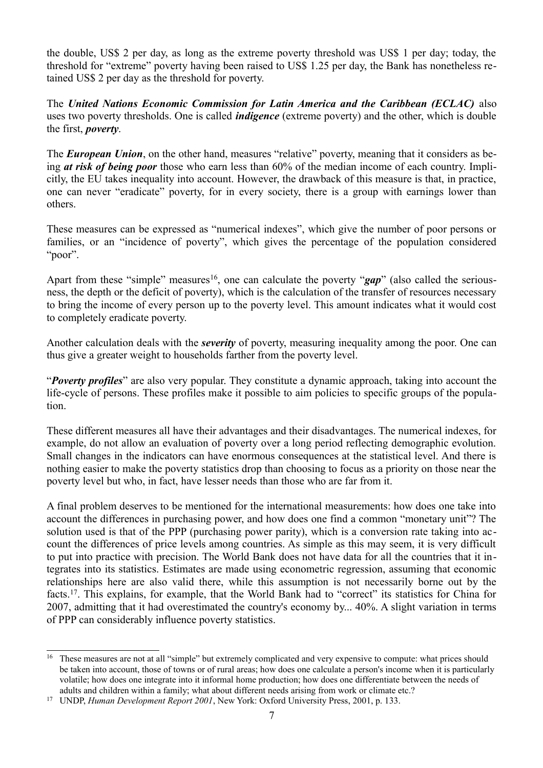the double, US\$ 2 per day, as long as the extreme poverty threshold was US\$ 1 per day; today, the threshold for "extreme" poverty having been raised to US\$ 1.25 per day, the Bank has nonetheless retained US\$ 2 per day as the threshold for poverty.

The *United Nations Economic Commission for Latin America and the Caribbean (ECLAC)* also uses two poverty thresholds. One is called *indigence* (extreme poverty) and the other, which is double the first, *poverty*.

The **European Union**, on the other hand, measures "relative" poverty, meaning that it considers as being *at risk of being poor* those who earn less than 60% of the median income of each country. Implicitly, the EU takes inequality into account. However, the drawback of this measure is that, in practice, one can never "eradicate" poverty, for in every society, there is a group with earnings lower than others.

These measures can be expressed as "numerical indexes", which give the number of poor persons or families, or an "incidence of poverty", which gives the percentage of the population considered " $poor$ ".

Apart from these "simple" measures<sup>[16](#page-6-0)</sup>, one can calculate the poverty "*gap*" (also called the seriousness, the depth or the deficit of poverty), which is the calculation of the transfer of resources necessary to bring the income of every person up to the poverty level. This amount indicates what it would cost to completely eradicate poverty.

Another calculation deals with the *severity* of poverty, measuring inequality among the poor. One can thus give a greater weight to households farther from the poverty level.

"*Poverty profiles*" are also very popular. They constitute a dynamic approach, taking into account the life-cycle of persons. These profiles make it possible to aim policies to specific groups of the population.

These different measures all have their advantages and their disadvantages. The numerical indexes, for example, do not allow an evaluation of poverty over a long period reflecting demographic evolution. Small changes in the indicators can have enormous consequences at the statistical level. And there is nothing easier to make the poverty statistics drop than choosing to focus as a priority on those near the poverty level but who, in fact, have lesser needs than those who are far from it.

A final problem deserves to be mentioned for the international measurements: how does one take into account the differences in purchasing power, and how does one find a common "monetary unit"? The solution used is that of the PPP (purchasing power parity), which is a conversion rate taking into account the differences of price levels among countries. As simple as this may seem, it is very difficult to put into practice with precision. The World Bank does not have data for all the countries that it integrates into its statistics. Estimates are made using econometric regression, assuming that economic relationships here are also valid there, while this assumption is not necessarily borne out by the facts.<sup>[17](#page-6-1)</sup>. This explains, for example, that the World Bank had to "correct" its statistics for China for 2007, admitting that it had overestimated the country's economy by... 40%. A slight variation in terms of PPP can considerably influence poverty statistics.

<span id="page-6-0"></span><sup>&</sup>lt;sup>16</sup> These measures are not at all "simple" but extremely complicated and very expensive to compute: what prices should be taken into account, those of towns or of rural areas; how does one calculate a person's income when it is particularly volatile; how does one integrate into it informal home production; how does one differentiate between the needs of adults and children within a family; what about different needs arising from work or climate etc.?

<span id="page-6-1"></span><sup>17</sup> UNDP, *Human Development Report 2001*, New York: Oxford University Press, 2001, p. 133.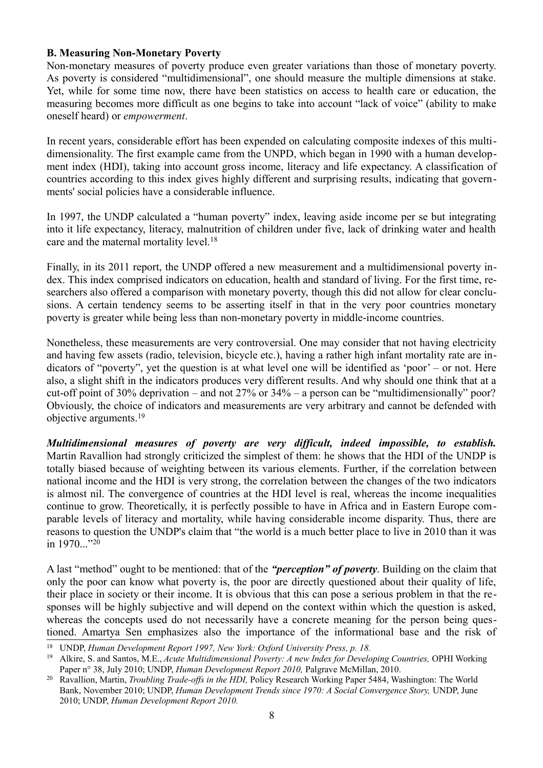#### **B. Measuring Non-Monetary Poverty**

Non-monetary measures of poverty produce even greater variations than those of monetary poverty. As poverty is considered "multidimensional", one should measure the multiple dimensions at stake. Yet, while for some time now, there have been statistics on access to health care or education, the measuring becomes more difficult as one begins to take into account "lack of voice" (ability to make oneself heard) or *empowerment*.

In recent years, considerable effort has been expended on calculating composite indexes of this multidimensionality. The first example came from the UNPD, which began in 1990 with a human development index (HDI), taking into account gross income, literacy and life expectancy. A classification of countries according to this index gives highly different and surprising results, indicating that governments' social policies have a considerable influence.

In 1997, the UNDP calculated a "human poverty" index, leaving aside income per se but integrating into it life expectancy, literacy, malnutrition of children under five, lack of drinking water and health care and the maternal mortality level.<sup>[18](#page-7-0)</sup>

Finally, in its 2011 report, the UNDP offered a new measurement and a multidimensional poverty index. This index comprised indicators on education, health and standard of living. For the first time, researchers also offered a comparison with monetary poverty, though this did not allow for clear conclusions. A certain tendency seems to be asserting itself in that in the very poor countries monetary poverty is greater while being less than non-monetary poverty in middle-income countries.

Nonetheless, these measurements are very controversial. One may consider that not having electricity and having few assets (radio, television, bicycle etc.), having a rather high infant mortality rate are indicators of "poverty", yet the question is at what level one will be identified as 'poor' – or not. Here also, a slight shift in the indicators produces very different results. And why should one think that at a cut-off point of 30% deprivation – and not 27% or 34% – a person can be "multidimensionally" poor? Obviously, the choice of indicators and measurements are very arbitrary and cannot be defended with objective arguments.[19](#page-7-1)

*Multidimensional measures of poverty are very difficult, indeed impossible, to establish.* Martin Ravallion had strongly criticized the simplest of them: he shows that the HDI of the UNDP is totally biased because of weighting between its various elements. Further, if the correlation between national income and the HDI is very strong, the correlation between the changes of the two indicators is almost nil. The convergence of countries at the HDI level is real, whereas the income inequalities continue to grow. Theoretically, it is perfectly possible to have in Africa and in Eastern Europe comparable levels of literacy and mortality, while having considerable income disparity. Thus, there are reasons to question the UNDP's claim that "the world is a much better place to live in 2010 than it was in 1970..."<sup>[20](#page-7-2)</sup>

A last "method" ought to be mentioned: that of the *"perception" of poverty*. Building on the claim that only the poor can know what poverty is, the poor are directly questioned about their quality of life, their place in society or their income. It is obvious that this can pose a serious problem in that the responses will be highly subjective and will depend on the context within which the question is asked, whereas the concepts used do not necessarily have a concrete meaning for the person being questioned. Amartya Sen emphasizes also the importance of the informational base and the risk of

<span id="page-7-0"></span><sup>18</sup> UNDP, *Human Development Report 1997, New York: Oxford University Press, p. 18.*

<span id="page-7-1"></span><sup>&</sup>lt;sup>19</sup> Alkire, S. and Santos, M.E., *Acute Multidimensional Poverty: A new Index for Developing Countries, OPHI Working* Paper n° 38, July 2010; UNDP, *Human Development Report 2010,* Palgrave McMillan, 2010.

<span id="page-7-2"></span><sup>20</sup> Ravallion, Martin, *Troubling Trade-offs in the HDI,* Policy Research Working Paper 5484, Washington: The World Bank, November 2010; UNDP, *Human Development Trends since 1970: A Social Convergence Story, UNDP*, June 2010; UNDP, *Human Development Report 2010.*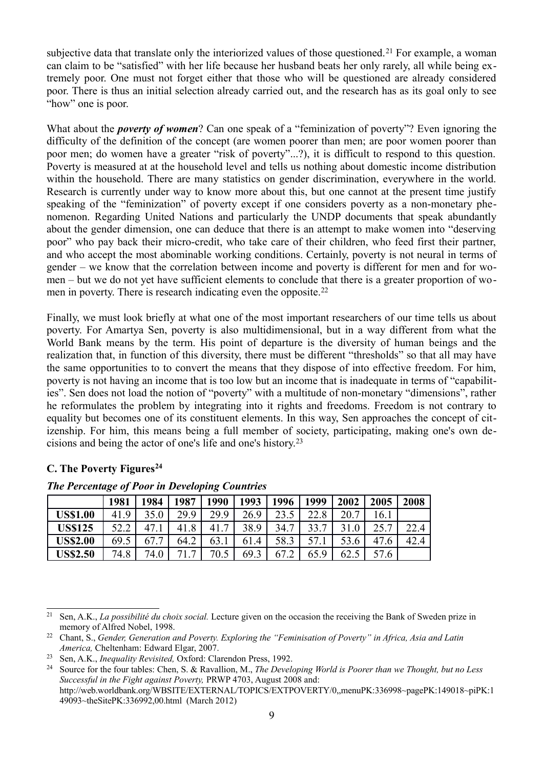subjective data that translate only the interiorized values of those questioned.<sup>[21](#page-8-0)</sup> For example, a woman can claim to be "satisfied" with her life because her husband beats her only rarely, all while being extremely poor. One must not forget either that those who will be questioned are already considered poor. There is thus an initial selection already carried out, and the research has as its goal only to see "how" one is poor.

What about the *poverty of women*? Can one speak of a "feminization of poverty"? Even ignoring the difficulty of the definition of the concept (are women poorer than men; are poor women poorer than poor men; do women have a greater "risk of poverty"...?), it is difficult to respond to this question. Poverty is measured at at the household level and tells us nothing about domestic income distribution within the household. There are many statistics on gender discrimination, everywhere in the world. Research is currently under way to know more about this, but one cannot at the present time justify speaking of the "feminization" of poverty except if one considers poverty as a non-monetary phenomenon. Regarding United Nations and particularly the UNDP documents that speak abundantly about the gender dimension, one can deduce that there is an attempt to make women into "deserving poor" who pay back their micro-credit, who take care of their children, who feed first their partner, and who accept the most abominable working conditions. Certainly, poverty is not neural in terms of gender – we know that the correlation between income and poverty is different for men and for women – but we do not yet have sufficient elements to conclude that there is a greater proportion of wo-men in poverty. There is research indicating even the opposite.<sup>[22](#page-8-1)</sup>

Finally, we must look briefly at what one of the most important researchers of our time tells us about poverty. For Amartya Sen, poverty is also multidimensional, but in a way different from what the World Bank means by the term. His point of departure is the diversity of human beings and the realization that, in function of this diversity, there must be different "thresholds" so that all may have the same opportunities to to convert the means that they dispose of into effective freedom. For him, poverty is not having an income that is too low but an income that is inadequate in terms of "capabilities". Sen does not load the notion of "poverty" with a multitude of non-monetary "dimensions", rather he reformulates the problem by integrating into it rights and freedoms. Freedom is not contrary to equality but becomes one of its constituent elements. In this way, Sen approaches the concept of citizenship. For him, this means being a full member of society, participating, making one's own decisions and being the actor of one's life and one's history.[23](#page-8-2)

#### **C. The Poverty Figures[24](#page-8-3)**

|                 | 1981 | 1984 | 1987               | 1990                  | 1993 | 1996 | 1999 | 2002 | 2005                | 2008         |
|-----------------|------|------|--------------------|-----------------------|------|------|------|------|---------------------|--------------|
| <b>US\$1.00</b> | 41.9 | 35.0 | 29.9               | 29.9                  | 26.9 | 23.5 | 22.8 | 20.7 | 16.1                |              |
| <b>US\$125</b>  | 57 7 | 47   | $\cdot$ 8<br>41    | $\overline{ }$<br>41. | 38.9 | 34.7 | 33.7 | 21   | 257                 | 22.4<br>∠∠.¬ |
| <b>US\$2.00</b> | 69.5 | 67.7 | 64.2               | 63.1                  | 61.4 | 58.3 | 57.1 | 53.6 | 47<br>$^{\prime}.6$ | 42.4         |
| <b>US\$2.50</b> | 74.8 | 74.0 | 71<br>$\mathbf{r}$ | 70.5                  | 69.3 | 67   | 65.9 | 62.5 | 57.6                |              |

*The Percentage of Poor in Developing Countries*

<span id="page-8-0"></span><sup>21</sup> Sen, A.K., *La possibilité du choix social.* Lecture given on the occasion the receiving the Bank of Sweden prize in memory of Alfred Nobel, 1998.

<span id="page-8-1"></span><sup>22</sup> Chant, S., *Gender, Generation and Poverty. Exploring the "Feminisation of Poverty" in Africa, Asia and Latin America,* Cheltenham: Edward Elgar, 2007.

<span id="page-8-2"></span><sup>23</sup> Sen, A.K., *Inequality Revisited,* Oxford: Clarendon Press, 1992.

<span id="page-8-3"></span><sup>24</sup> Source for the four tables: Chen, S. & Ravallion, M., *The Developing World is Poorer than we Thought, but no Less Successful in the Fight against Poverty,* PRWP 4703, August 2008 and: http://web.worldbank.org/WBSITE/EXTERNAL/TOPICS/EXTPOVERTY/0,,menuPK:336998~pagePK:149018~piPK:1 49093~theSitePK:336992,00.html (March 2012)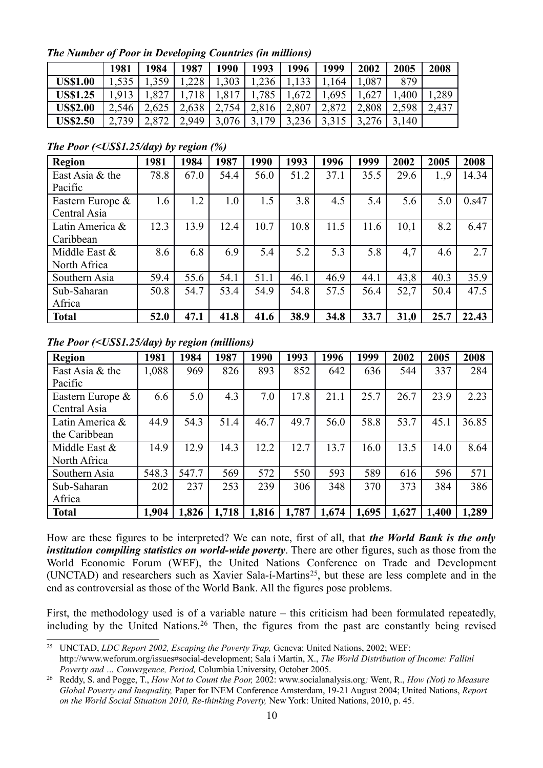*The Number of Poor in Developing Countries (in millions)*

|                 | 1981  | 1984  | 1987  | 1990  | 1993  | 1996  | 1999  | 2002  | 2005  | 2008  |
|-----------------|-------|-------|-------|-------|-------|-------|-------|-------|-------|-------|
| <b>US\$1.00</b> |       | 359   | .228  | ,303  | ,236  |       | 164   | ,087  | 879   |       |
| <b>US\$1.25</b> | 1,913 | ,827  | 18    | .81   | 785   | 1,672 | .695  | ,627  | ,400  | ,289  |
| <b>US\$2.00</b> | 2,546 | 2,625 | 2,638 | 2,754 | 2,816 | 2,807 | 2,872 | 2,808 | 2,598 | 2,437 |
| <b>US\$2.50</b> | 2,739 | 2,872 | 2,949 | 3,076 | 70    | 3,236 |       |       | 3,140 |       |

*The Poor (<US\$1.25/day) by region (%)*

| <b>Region</b>    | 1981 | 1984 | 1987 | 1990 | 1993 | 1996 | 1999 | 2002 | 2005 | 2008  |
|------------------|------|------|------|------|------|------|------|------|------|-------|
| East Asia & the  | 78.8 | 67.0 | 54.4 | 56.0 | 51.2 | 37.1 | 35.5 | 29.6 | 1.,9 | 14.34 |
| Pacific          |      |      |      |      |      |      |      |      |      |       |
| Eastern Europe & | 1.6  | 1.2  | 1.0  | 1.5  | 3.8  | 4.5  | 5.4  | 5.6  | 5.0  | 0.s47 |
| Central Asia     |      |      |      |      |      |      |      |      |      |       |
| Latin America &  | 12.3 | 13.9 | 12.4 | 10.7 | 10.8 | 11.5 | 11.6 | 10,1 | 8.2  | 6.47  |
| Caribbean        |      |      |      |      |      |      |      |      |      |       |
| Middle East $&$  | 8.6  | 6.8  | 6.9  | 5.4  | 5.2  | 5.3  | 5.8  | 4,7  | 4.6  | 2.7   |
| North Africa     |      |      |      |      |      |      |      |      |      |       |
| Southern Asia    | 59.4 | 55.6 | 54.1 | 51.1 | 46.1 | 46.9 | 44.1 | 43,8 | 40.3 | 35.9  |
| Sub-Saharan      | 50.8 | 54.7 | 53.4 | 54.9 | 54.8 | 57.5 | 56.4 | 52,7 | 50.4 | 47.5  |
| Africa           |      |      |      |      |      |      |      |      |      |       |
| <b>Total</b>     | 52.0 | 47.1 | 41.8 | 41.6 | 38.9 | 34.8 | 33.7 | 31,0 | 25.7 | 22.43 |

*The Poor (<US\$1.25/day) by region (millions)*

| <b>Region</b>    | 1981  | 1984  | 1987  | 1990  | 1993  | 1996  | 1999  | 2002  | 2005  | 2008  |
|------------------|-------|-------|-------|-------|-------|-------|-------|-------|-------|-------|
| East Asia & the  | 1,088 | 969   | 826   | 893   | 852   | 642   | 636   | 544   | 337   | 284   |
| Pacific          |       |       |       |       |       |       |       |       |       |       |
| Eastern Europe & | 6.6   | 5.0   | 4.3   | 7.0   | 17.8  | 21.1  | 25.7  | 26.7  | 23.9  | 2.23  |
| Central Asia     |       |       |       |       |       |       |       |       |       |       |
| Latin America &  | 44.9  | 54.3  | 51.4  | 46.7  | 49.7  | 56.0  | 58.8  | 53.7  | 45.1  | 36.85 |
| the Caribbean    |       |       |       |       |       |       |       |       |       |       |
| Middle East &    | 14.9  | 12.9  | 14.3  | 12.2  | 12.7  | 13.7  | 16.0  | 13.5  | 14.0  | 8.64  |
| North Africa     |       |       |       |       |       |       |       |       |       |       |
| Southern Asia    | 548.3 | 547.7 | 569   | 572   | 550   | 593   | 589   | 616   | 596   | 571   |
| Sub-Saharan      | 202   | 237   | 253   | 239   | 306   | 348   | 370   | 373   | 384   | 386   |
| Africa           |       |       |       |       |       |       |       |       |       |       |
| <b>Total</b>     | 1,904 | 1,826 | 1,718 | 1,816 | 1,787 | 1,674 | 1,695 | 1,627 | 1,400 | 1,289 |

How are these figures to be interpreted? We can note, first of all, that *the World Bank is the only institution compiling statistics on world-wide poverty*. There are other figures, such as those from the World Economic Forum (WEF), the United Nations Conference on Trade and Development (UNCTAD) and researchers such as Xavier Sala-í-Martins[25](#page-9-0), but these are less complete and in the end as controversial as those of the World Bank. All the figures pose problems.

First, the methodology used is of a variable nature – this criticism had been formulated repeatedly, including by the United Nations.<sup>[26](#page-9-1)</sup> Then, the figures from the past are constantly being revised

<span id="page-9-0"></span><sup>&</sup>lt;sup>25</sup> UNCTAD, *LDC Report 2002, Escaping the Poverty Trap, Geneva: United Nations, 2002; WEF:* http://www.weforum.org/issues#social-development; Sala í Martin, X., *The World Distribution of Income: Falliní Poverty and … Convergence, Period,* Columbia University, October 2005.

<span id="page-9-1"></span><sup>26</sup> Reddy, S. and Pogge, T., *How Not to Count the Poor,* 2002: www.socialanalysis.org*;* Went, R., *How (Not) to Measure Global Poverty and Inequality,* Paper for INEM Conference Amsterdam, 19-21 August 2004; United Nations, *Report on the World Social Situation 2010, Re-thinking Poverty,* New York: United Nations, 2010, p. 45.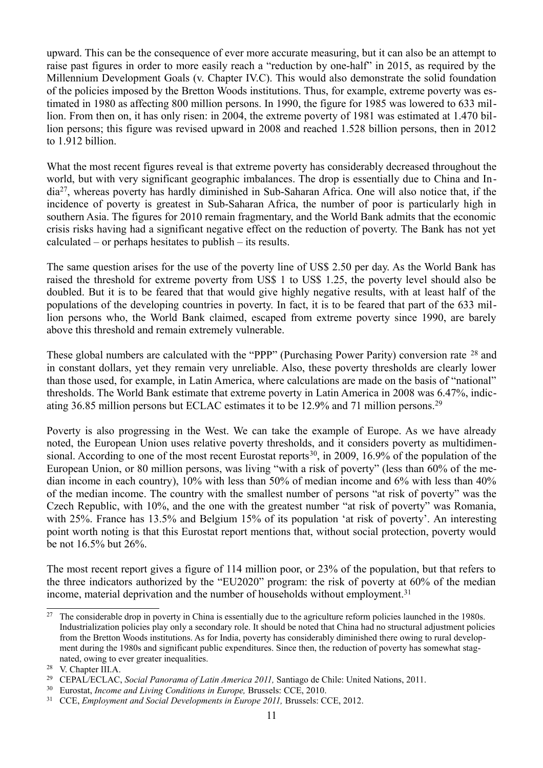upward. This can be the consequence of ever more accurate measuring, but it can also be an attempt to raise past figures in order to more easily reach a "reduction by one-half" in 2015, as required by the Millennium Development Goals (v. Chapter IV.C). This would also demonstrate the solid foundation of the policies imposed by the Bretton Woods institutions. Thus, for example, extreme poverty was estimated in 1980 as affecting 800 million persons. In 1990, the figure for 1985 was lowered to 633 million. From then on, it has only risen: in 2004, the extreme poverty of 1981 was estimated at 1.470 billion persons; this figure was revised upward in 2008 and reached 1.528 billion persons, then in 2012 to 1.912 billion.

What the most recent figures reveal is that extreme poverty has considerably decreased throughout the world, but with very significant geographic imbalances. The drop is essentially due to China and India[27](#page-10-0), whereas poverty has hardly diminished in Sub-Saharan Africa. One will also notice that, if the incidence of poverty is greatest in Sub-Saharan Africa, the number of poor is particularly high in southern Asia. The figures for 2010 remain fragmentary, and the World Bank admits that the economic crisis risks having had a significant negative effect on the reduction of poverty. The Bank has not yet calculated – or perhaps hesitates to publish – its results.

The same question arises for the use of the poverty line of US\$ 2.50 per day. As the World Bank has raised the threshold for extreme poverty from US\$ 1 to US\$ 1.25, the poverty level should also be doubled. But it is to be feared that that would give highly negative results, with at least half of the populations of the developing countries in poverty. In fact, it is to be feared that part of the 633 million persons who, the World Bank claimed, escaped from extreme poverty since 1990, are barely above this threshold and remain extremely vulnerable.

These global numbers are calculated with the "PPP" (Purchasing Power Parity) conversion rate [28](#page-10-1) and in constant dollars, yet they remain very unreliable. Also, these poverty thresholds are clearly lower than those used, for example, in Latin America, where calculations are made on the basis of "national" thresholds. The World Bank estimate that extreme poverty in Latin America in 2008 was 6.47%, indicating 36.85 million persons but ECLAC estimates it to be 12.9% and 71 million persons.[29](#page-10-2)

Poverty is also progressing in the West. We can take the example of Europe. As we have already noted, the European Union uses relative poverty thresholds, and it considers poverty as multidimen-sional. According to one of the most recent Eurostat reports<sup>[30](#page-10-3)</sup>, in 2009, 16.9% of the population of the European Union, or 80 million persons, was living "with a risk of poverty" (less than 60% of the median income in each country), 10% with less than 50% of median income and 6% with less than 40% of the median income. The country with the smallest number of persons "at risk of poverty" was the Czech Republic, with 10%, and the one with the greatest number "at risk of poverty" was Romania, with 25%. France has 13.5% and Belgium 15% of its population 'at risk of poverty'. An interesting point worth noting is that this Eurostat report mentions that, without social protection, poverty would be not 16.5% but 26%.

The most recent report gives a figure of 114 million poor, or 23% of the population, but that refers to the three indicators authorized by the "EU2020" program: the risk of poverty at 60% of the median income, material deprivation and the number of households without employment.<sup>[31](#page-10-4)</sup>

<span id="page-10-0"></span><sup>&</sup>lt;sup>27</sup> The considerable drop in poverty in China is essentially due to the agriculture reform policies launched in the 1980s. Industrialization policies play only a secondary role. It should be noted that China had no structural adjustment policies from the Bretton Woods institutions. As for India, poverty has considerably diminished there owing to rural development during the 1980s and significant public expenditures. Since then, the reduction of poverty has somewhat stagnated, owing to ever greater inequalities.

<span id="page-10-1"></span><sup>28</sup> V. Chapter III.A.

<span id="page-10-2"></span><sup>29</sup> CEPAL/ECLAC, *Social Panorama of Latin America 2011,* Santiago de Chile: United Nations, 2011.

<span id="page-10-3"></span><sup>30</sup> Eurostat, *Income and Living Conditions in Europe,* Brussels: CCE, 2010.

<span id="page-10-4"></span><sup>31</sup> CCE, *Employment and Social Developments in Europe 2011,* Brussels: CCE, 2012.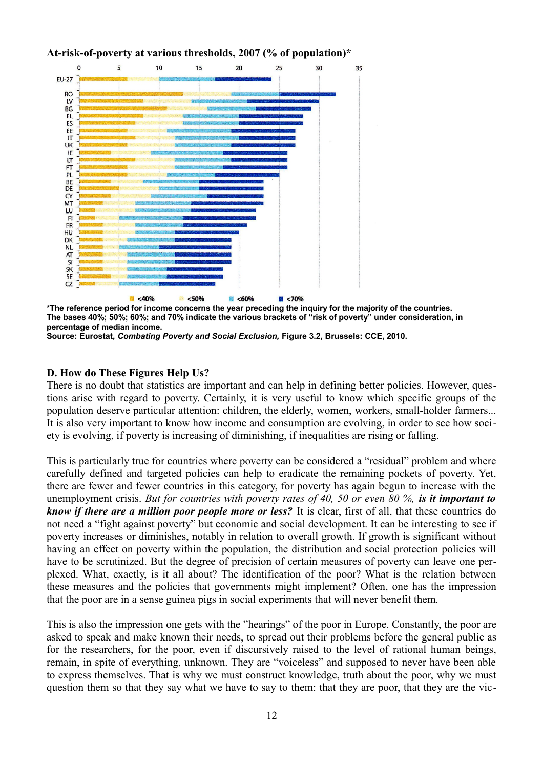

**At-risk-of-poverty at various thresholds, 2007 (% of population)\***

**\*The reference period for income concerns the year preceding the inquiry for the majority of the countries. The bases 40%; 50%; 60%; and 70% indicate the various brackets of "risk of poverty" under consideration, in percentage of median income.**

**Source: Eurostat,** *Combating Poverty and Social Exclusion,* **Figure 3.2***,* **Brussels: CCE, 2010.**

#### **D. How do These Figures Help Us?**

There is no doubt that statistics are important and can help in defining better policies. However, questions arise with regard to poverty. Certainly, it is very useful to know which specific groups of the population deserve particular attention: children, the elderly, women, workers, small-holder farmers... It is also very important to know how income and consumption are evolving, in order to see how society is evolving, if poverty is increasing of diminishing, if inequalities are rising or falling.

This is particularly true for countries where poverty can be considered a "residual" problem and where carefully defined and targeted policies can help to eradicate the remaining pockets of poverty. Yet, there are fewer and fewer countries in this category, for poverty has again begun to increase with the unemployment crisis. *But for countries with poverty rates of 40, 50 or even 80 %, is it important to know if there are a million poor people more or less?* It is clear, first of all, that these countries do not need a "fight against poverty" but economic and social development. It can be interesting to see if poverty increases or diminishes, notably in relation to overall growth. If growth is significant without having an effect on poverty within the population, the distribution and social protection policies will have to be scrutinized. But the degree of precision of certain measures of poverty can leave one perplexed. What, exactly, is it all about? The identification of the poor? What is the relation between these measures and the policies that governments might implement? Often, one has the impression that the poor are in a sense guinea pigs in social experiments that will never benefit them.

This is also the impression one gets with the "hearings" of the poor in Europe. Constantly, the poor are asked to speak and make known their needs, to spread out their problems before the general public as for the researchers, for the poor, even if discursively raised to the level of rational human beings, remain, in spite of everything, unknown. They are "voiceless" and supposed to never have been able to express themselves. That is why we must construct knowledge, truth about the poor, why we must question them so that they say what we have to say to them: that they are poor, that they are the vic-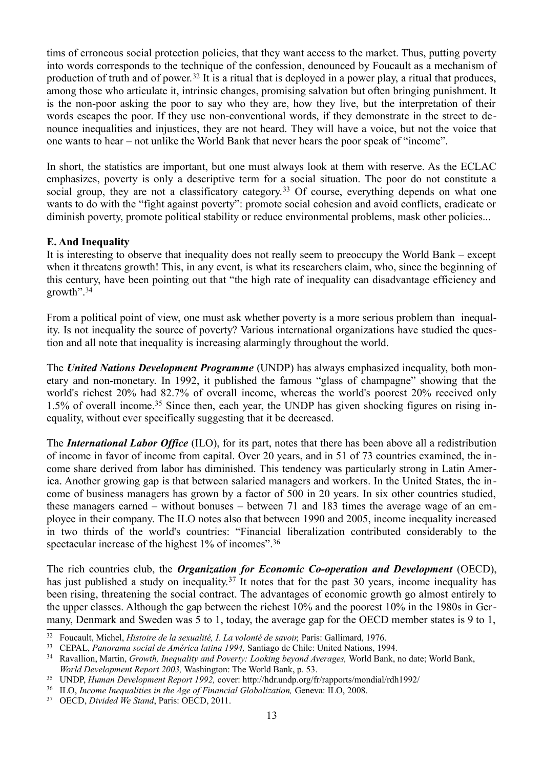tims of erroneous social protection policies, that they want access to the market. Thus, putting poverty into words corresponds to the technique of the confession, denounced by Foucault as a mechanism of production of truth and of power.[32](#page-12-0) It is a ritual that is deployed in a power play, a ritual that produces, among those who articulate it, intrinsic changes, promising salvation but often bringing punishment. It is the non-poor asking the poor to say who they are, how they live, but the interpretation of their words escapes the poor. If they use non-conventional words, if they demonstrate in the street to denounce inequalities and injustices, they are not heard. They will have a voice, but not the voice that one wants to hear – not unlike the World Bank that never hears the poor speak of "income".

In short, the statistics are important, but one must always look at them with reserve. As the ECLAC emphasizes, poverty is only a descriptive term for a social situation. The poor do not constitute a social group, they are not a classificatory category.<sup>[33](#page-12-1)</sup> Of course, everything depends on what one wants to do with the "fight against poverty": promote social cohesion and avoid conflicts, eradicate or diminish poverty, promote political stability or reduce environmental problems, mask other policies...

#### **E. And Inequality**

It is interesting to observe that inequality does not really seem to preoccupy the World Bank – except when it threatens growth! This, in any event, is what its researchers claim, who, since the beginning of this century, have been pointing out that "the high rate of inequality can disadvantage efficiency and growth".[34](#page-12-2)

From a political point of view, one must ask whether poverty is a more serious problem than inequality. Is not inequality the source of poverty? Various international organizations have studied the question and all note that inequality is increasing alarmingly throughout the world.

The *United Nations Development Programme* (UNDP) has always emphasized inequality, both monetary and non-monetary. In 1992, it published the famous "glass of champagne" showing that the world's richest 20% had 82.7% of overall income, whereas the world's poorest 20% received only 1.5% of overall income.[35](#page-12-3) Since then, each year, the UNDP has given shocking figures on rising inequality, without ever specifically suggesting that it be decreased.

The *International Labor Office* (ILO), for its part, notes that there has been above all a redistribution of income in favor of income from capital. Over 20 years, and in 51 of 73 countries examined, the income share derived from labor has diminished. This tendency was particularly strong in Latin America. Another growing gap is that between salaried managers and workers. In the United States, the income of business managers has grown by a factor of 500 in 20 years. In six other countries studied, these managers earned – without bonuses – between 71 and 183 times the average wage of an employee in their company. The ILO notes also that between 1990 and 2005, income inequality increased in two thirds of the world's countries: "Financial liberalization contributed considerably to the spectacular increase of the highest 1% of incomes".<sup>[36](#page-12-4)</sup>

The rich countries club, the *Organization for Economic Co-operation and Development* (OECD), has just published a study on inequality.<sup>[37](#page-12-5)</sup> It notes that for the past 30 years, income inequality has been rising, threatening the social contract. The advantages of economic growth go almost entirely to the upper classes. Although the gap between the richest 10% and the poorest 10% in the 1980s in Germany, Denmark and Sweden was 5 to 1, today, the average gap for the OECD member states is 9 to 1,

<span id="page-12-0"></span><sup>&</sup>lt;sup>32</sup> Foucault, Michel, *Histoire de la sexualité, I. La volonté de savoir*, Paris: Gallimard, 1976.

<span id="page-12-1"></span><sup>33</sup> CEPAL, *Panorama social de América latina 1994,* Santiago de Chile: United Nations, 1994.

<span id="page-12-2"></span><sup>34</sup> Ravallion, Martin, *Growth, Inequality and Poverty: Looking beyond Averages,* World Bank, no date; World Bank, *World Development Report 2003,* Washington: The World Bank, p. 53.

<span id="page-12-3"></span><sup>35</sup> UNDP, *Human Development Report 1992,* cover: http://hdr.undp.org/fr/rapports/mondial/rdh1992/

<span id="page-12-4"></span><sup>36</sup> ILO, *Income Inequalities in the Age of Financial Globalization,* Geneva: ILO, 2008.

<span id="page-12-5"></span><sup>37</sup> OECD, *Divided We Stand*, Paris: OECD, 2011.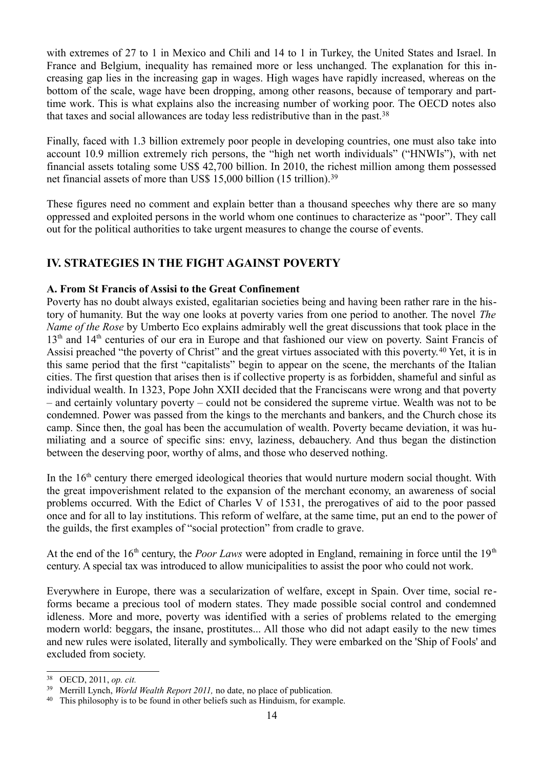with extremes of 27 to 1 in Mexico and Chili and 14 to 1 in Turkey, the United States and Israel. In France and Belgium, inequality has remained more or less unchanged. The explanation for this increasing gap lies in the increasing gap in wages. High wages have rapidly increased, whereas on the bottom of the scale, wage have been dropping, among other reasons, because of temporary and parttime work. This is what explains also the increasing number of working poor. The OECD notes also that taxes and social allowances are today less redistributive than in the past.[38](#page-13-0)

Finally, faced with 1.3 billion extremely poor people in developing countries, one must also take into account 10.9 million extremely rich persons, the "high net worth individuals" ("HNWIs"), with net financial assets totaling some US\$ 42,700 billion. In 2010, the richest million among them possessed net financial assets of more than US\$ 15,000 billion (15 trillion).<sup>[39](#page-13-1)</sup>

These figures need no comment and explain better than a thousand speeches why there are so many oppressed and exploited persons in the world whom one continues to characterize as "poor". They call out for the political authorities to take urgent measures to change the course of events.

## **IV. STRATEGIES IN THE FIGHT AGAINST POVERTY**

#### **A. From St Francis of Assisi to the Great Confinement**

Poverty has no doubt always existed, egalitarian societies being and having been rather rare in the history of humanity. But the way one looks at poverty varies from one period to another. The novel *The Name of the Rose* by Umberto Eco explains admirably well the great discussions that took place in the 13<sup>th</sup> and 14<sup>th</sup> centuries of our era in Europe and that fashioned our view on poverty. Saint Francis of Assisi preached "the poverty of Christ" and the great virtues associated with this poverty.<sup>[40](#page-13-2)</sup> Yet, it is in this same period that the first "capitalists" begin to appear on the scene, the merchants of the Italian cities. The first question that arises then is if collective property is as forbidden, shameful and sinful as individual wealth. In 1323, Pope John XXII decided that the Franciscans were wrong and that poverty – and certainly voluntary poverty – could not be considered the supreme virtue. Wealth was not to be condemned. Power was passed from the kings to the merchants and bankers, and the Church chose its camp. Since then, the goal has been the accumulation of wealth. Poverty became deviation, it was humiliating and a source of specific sins: envy, laziness, debauchery. And thus began the distinction between the deserving poor, worthy of alms, and those who deserved nothing.

In the 16<sup>th</sup> century there emerged ideological theories that would nurture modern social thought. With the great impoverishment related to the expansion of the merchant economy, an awareness of social problems occurred. With the Edict of Charles V of 1531, the prerogatives of aid to the poor passed once and for all to lay institutions. This reform of welfare, at the same time, put an end to the power of the guilds, the first examples of "social protection" from cradle to grave.

At the end of the  $16<sup>th</sup>$  century, the *Poor Laws* were adopted in England, remaining in force until the  $19<sup>th</sup>$ century. A special tax was introduced to allow municipalities to assist the poor who could not work.

Everywhere in Europe, there was a secularization of welfare, except in Spain. Over time, social reforms became a precious tool of modern states. They made possible social control and condemned idleness. More and more, poverty was identified with a series of problems related to the emerging modern world: beggars, the insane, prostitutes... All those who did not adapt easily to the new times and new rules were isolated, literally and symbolically. They were embarked on the 'Ship of Fools' and excluded from society.

<span id="page-13-0"></span><sup>38</sup> OECD, 2011, *op. cit.*

<span id="page-13-1"></span><sup>39</sup> Merrill Lynch, *World Wealth Report 2011,* no date, no place of publication*.*

<span id="page-13-2"></span><sup>&</sup>lt;sup>40</sup> This philosophy is to be found in other beliefs such as Hinduism, for example.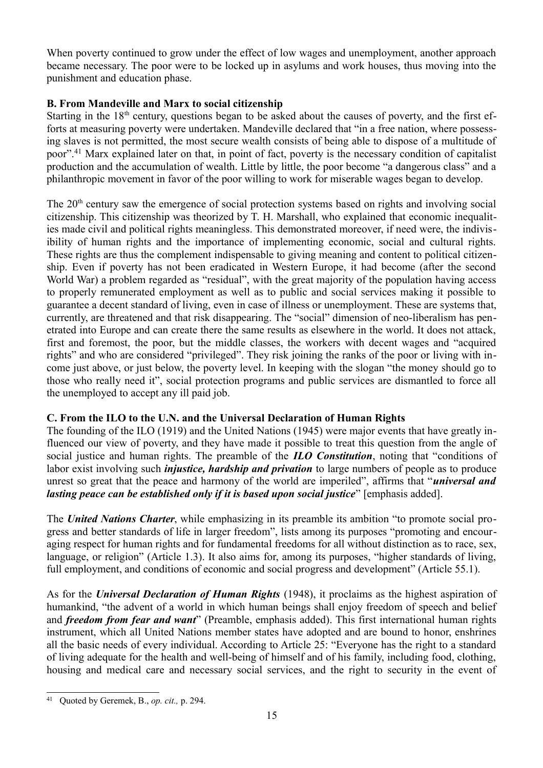When poverty continued to grow under the effect of low wages and unemployment, another approach became necessary. The poor were to be locked up in asylums and work houses, thus moving into the punishment and education phase.

#### **B. From Mandeville and Marx to social citizenship**

Starting in the  $18<sup>th</sup>$  century, questions began to be asked about the causes of poverty, and the first efforts at measuring poverty were undertaken. Mandeville declared that "in a free nation, where possessing slaves is not permitted, the most secure wealth consists of being able to dispose of a multitude of poor".[41](#page-14-0) Marx explained later on that, in point of fact, poverty is the necessary condition of capitalist production and the accumulation of wealth. Little by little, the poor become "a dangerous class" and a philanthropic movement in favor of the poor willing to work for miserable wages began to develop.

The 20<sup>th</sup> century saw the emergence of social protection systems based on rights and involving social citizenship. This citizenship was theorized by T. H. Marshall, who explained that economic inequalities made civil and political rights meaningless. This demonstrated moreover, if need were, the indivisibility of human rights and the importance of implementing economic, social and cultural rights. These rights are thus the complement indispensable to giving meaning and content to political citizenship. Even if poverty has not been eradicated in Western Europe, it had become (after the second World War) a problem regarded as "residual", with the great majority of the population having access to properly remunerated employment as well as to public and social services making it possible to guarantee a decent standard of living, even in case of illness or unemployment. These are systems that, currently, are threatened and that risk disappearing. The "social" dimension of neo-liberalism has penetrated into Europe and can create there the same results as elsewhere in the world. It does not attack, first and foremost, the poor, but the middle classes, the workers with decent wages and "acquired rights" and who are considered "privileged". They risk joining the ranks of the poor or living with income just above, or just below, the poverty level. In keeping with the slogan "the money should go to those who really need it", social protection programs and public services are dismantled to force all the unemployed to accept any ill paid job.

#### **C. From the ILO to the U.N. and the Universal Declaration of Human Rights**

The founding of the ILO (1919) and the United Nations (1945) were major events that have greatly influenced our view of poverty, and they have made it possible to treat this question from the angle of social justice and human rights. The preamble of the *ILO Constitution*, noting that "conditions of labor exist involving such *injustice, hardship and privation* to large numbers of people as to produce unrest so great that the peace and harmony of the world are imperiled", affirms that "*universal and lasting peace can be established only if it is based upon social justice*" [emphasis added].

The *United Nations Charter*, while emphasizing in its preamble its ambition "to promote social progress and better standards of life in larger freedom", lists among its purposes "promoting and encouraging respect for human rights and for fundamental freedoms for all without distinction as to race, sex, language, or religion" (Article 1.3). It also aims for, among its purposes, "higher standards of living, full employment, and conditions of economic and social progress and development" (Article 55.1).

As for the *Universal Declaration of Human Rights* (1948), it proclaims as the highest aspiration of humankind, "the advent of a world in which human beings shall enjoy freedom of speech and belief and *freedom from fear and want*" (Preamble, emphasis added). This first international human rights instrument, which all United Nations member states have adopted and are bound to honor, enshrines all the basic needs of every individual. According to Article 25: "Everyone has the right to a standard of living adequate for the health and well-being of himself and of his family, including food, clothing, housing and medical care and necessary social services, and the right to security in the event of

<span id="page-14-0"></span><sup>41</sup> Quoted by Geremek, B., *op. cit.,* p. 294.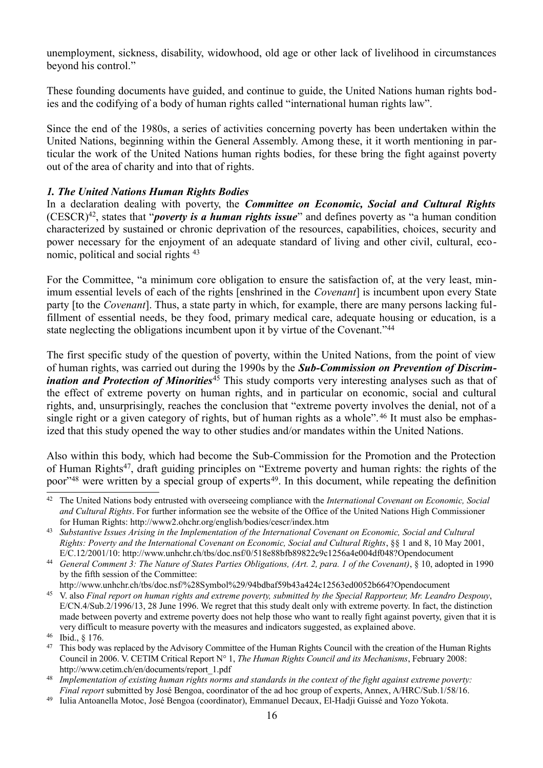unemployment, sickness, disability, widowhood, old age or other lack of livelihood in circumstances beyond his control."

These founding documents have guided, and continue to guide, the United Nations human rights bodies and the codifying of a body of human rights called "international human rights law".

Since the end of the 1980s, a series of activities concerning poverty has been undertaken within the United Nations, beginning within the General Assembly. Among these, it it worth mentioning in particular the work of the United Nations human rights bodies, for these bring the fight against poverty out of the area of charity and into that of rights.

#### *1. The United Nations Human Rights Bodies*

In a declaration dealing with poverty, the *Committee on Economic, Social and Cultural Rights* (CESCR)[42](#page-15-0), states that "*poverty is a human rights issue*" and defines poverty as "a human condition characterized by sustained or chronic deprivation of the resources, capabilities, choices, security and power necessary for the enjoyment of an adequate standard of living and other civil, cultural, economic, political and social rights [43](#page-15-1)

For the Committee, "a minimum core obligation to ensure the satisfaction of, at the very least, minimum essential levels of each of the rights [enshrined in the *Covenant*] is incumbent upon every State party [to the *Covenant*]. Thus, a state party in which, for example, there are many persons lacking fulfillment of essential needs, be they food, primary medical care, adequate housing or education, is a state neglecting the obligations incumbent upon it by virtue of the Covenant."[44](#page-15-2)

The first specific study of the question of poverty, within the United Nations, from the point of view of human rights, was carried out during the 1990s by the *Sub-Commission on Prevention of Discrimination and Protection of Minorities*<sup>[45](#page-15-3)</sup> This study comports very interesting analyses such as that of the effect of extreme poverty on human rights, and in particular on economic, social and cultural rights, and, unsurprisingly, reaches the conclusion that "extreme poverty involves the denial, not of a single right or a given category of rights, but of human rights as a whole".<sup>[46](#page-15-4)</sup> It must also be emphasized that this study opened the way to other studies and/or mandates within the United Nations.

Also within this body, which had become the Sub-Commission for the Promotion and the Protection of Human Rights<sup>[47](#page-15-5)</sup>, draft guiding principles on "Extreme poverty and human rights: the rights of the poor<sup>3[48](#page-15-6)</sup> were written by a special group of experts<sup>[49](#page-15-7)</sup>. In this document, while repeating the definition

<span id="page-15-3"></span>http://www.unhchr.ch/tbs/doc.nsf/%28Symbol%29/94bdbaf59b43a424c12563ed0052b664?Opendocument

<span id="page-15-0"></span><sup>42</sup> The United Nations body entrusted with overseeing compliance with the *International Covenant on Economic, Social and Cultural Rights*. For further information see the website of the Office of the United Nations High Commissioner for Human Rights: http://www2.ohchr.org/english/bodies/cescr/index.htm

<span id="page-15-1"></span><sup>43</sup> *Substantive Issues Arising in the Implementation of the International Covenant on Economic, Social and Cultural Rights: Poverty and the International Covenant on Economic, Social and Cultural Rights*, §§ 1 and 8, 10 May 2001, E/C.12/2001/10: http://www.unhchr.ch/tbs/doc.nsf/0/518e88bfb89822c9c1256a4e004df048?Opendocument

<span id="page-15-2"></span><sup>44</sup> *General Comment 3: The Nature of States Parties Obligations, (Art. 2, para. 1 of the Covenant)*, § 10, adopted in 1990 by the fifth session of the Committee:

<sup>45</sup> V. also *Final report on human rights and extreme poverty, submitted by the Special Rapporteur, Mr. Leandro Despouy*, E/CN.4/Sub.2/1996/13, 28 June 1996. We regret that this study dealt only with extreme poverty. In fact, the distinction made between poverty and extreme poverty does not help those who want to really fight against poverty, given that it is very difficult to measure poverty with the measures and indicators suggested, as explained above.

<span id="page-15-4"></span><sup>46</sup> Ibid., § 176.

<span id="page-15-5"></span><sup>&</sup>lt;sup>47</sup> This body was replaced by the Advisory Committee of the Human Rights Council with the creation of the Human Rights Council in 2006. V. CETIM Critical Report N° 1, *The Human Rights Council and its Mechanisms*, February 2008: http://www.cetim.ch/en/documents/report\_1.pdf

<span id="page-15-6"></span><sup>48</sup> *Implementation of existing human rights norms and standards in the context of the fight against extreme poverty: Final report* submitted by José Bengoa, coordinator of the ad hoc group of experts, Annex, A/HRC/Sub.1/58/16.

<span id="page-15-7"></span><sup>49</sup> Iulia Antoanella Motoc, José Bengoa (coordinator), Emmanuel Decaux, El-Hadji Guissé and Yozo Yokota.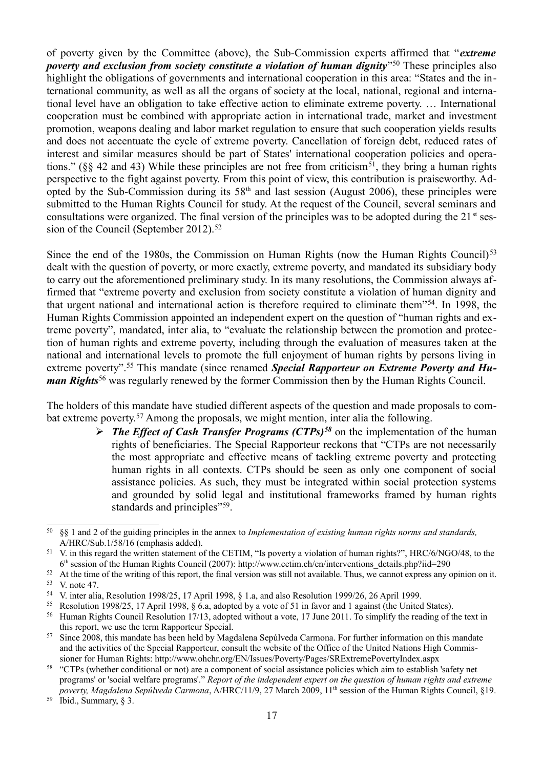of poverty given by the Committee (above), the Sub-Commission experts affirmed that "*extreme* poverty and exclusion from society constitute a violation of human dignity<sup>"[50](#page-16-0)</sup> These principles also highlight the obligations of governments and international cooperation in this area: "States and the international community, as well as all the organs of society at the local, national, regional and international level have an obligation to take effective action to eliminate extreme poverty. … International cooperation must be combined with appropriate action in international trade, market and investment promotion, weapons dealing and labor market regulation to ensure that such cooperation yields results and does not accentuate the cycle of extreme poverty. Cancellation of foreign debt, reduced rates of interest and similar measures should be part of States' international cooperation policies and operations." ( $\S$ § 42 and 43) While these principles are not free from criticism<sup>[51](#page-16-1)</sup>, they bring a human rights perspective to the fight against poverty. From this point of view, this contribution is praiseworthy. Adopted by the Sub-Commission during its  $58<sup>th</sup>$  and last session (August 2006), these principles were submitted to the Human Rights Council for study. At the request of the Council, several seminars and consultations were organized. The final version of the principles was to be adopted during the  $21<sup>st</sup>$  ses-sion of the Council (September 2012).<sup>[52](#page-16-2)</sup>

Since the end of the 1980s, the Commission on Human Rights (now the Human Rights Council)<sup>[53](#page-16-3)</sup> dealt with the question of poverty, or more exactly, extreme poverty, and mandated its subsidiary body to carry out the aforementioned preliminary study. In its many resolutions, the Commission always affirmed that "extreme poverty and exclusion from society constitute a violation of human dignity and that urgent national and international action is therefore required to eliminate them"[54](#page-16-4). In 1998, the Human Rights Commission appointed an independent expert on the question of "human rights and extreme poverty", mandated, inter alia, to "evaluate the relationship between the promotion and protection of human rights and extreme poverty, including through the evaluation of measures taken at the national and international levels to promote the full enjoyment of human rights by persons living in extreme poverty".[55](#page-16-5) This mandate (since renamed *Special Rapporteur on Extreme Poverty and Human Rights*[56](#page-16-6) was regularly renewed by the former Commission then by the Human Rights Council.

The holders of this mandate have studied different aspects of the question and made proposals to combat extreme poverty.[57](#page-16-7) Among the proposals, we might mention, inter alia the following.

> ➢ *The Effect of Cash Transfer Programs (CTPs)[58](#page-16-8)* on the implementation of the human rights of beneficiaries. The Special Rapporteur reckons that "CTPs are not necessarily the most appropriate and effective means of tackling extreme poverty and protecting human rights in all contexts. CTPs should be seen as only one component of social assistance policies. As such, they must be integrated within social protection systems and grounded by solid legal and institutional frameworks framed by human rights standards and principles"<sup>[59](#page-16-9)</sup>.

<span id="page-16-9"></span> $59$  Ibid., Summary,  $\frac{8}{3}$ .

<span id="page-16-0"></span><sup>50</sup> §§ 1 and 2 of the guiding principles in the annex to *Implementation of existing human rights norms and standards,* A/HRC/Sub.1/58/16 (emphasis added).

<span id="page-16-1"></span><sup>51</sup> V. in this regard the written statement of the CETIM, "Is poverty a violation of human rights?", HRC/6/NGO/48, to the 6 th session of the Human Rights Council (2007): http://www.cetim.ch/en/interventions\_details.php?iid=290

<span id="page-16-3"></span><span id="page-16-2"></span><sup>&</sup>lt;sup>52</sup> At the time of the writing of this report, the final version was still not available. Thus, we cannot express any opinion on it.  $\frac{53}{54}$  V. note 47.

<span id="page-16-4"></span><sup>54</sup> V. inter alia, Resolution 1998/25, 17 April 1998, § 1.a, and also Resolution 1999/26, 26 April 1999.

<span id="page-16-5"></span><sup>55</sup> Resolution 1998/25, 17 April 1998, § 6.a, adopted by a vote of 51 in favor and 1 against (the United States).

<span id="page-16-6"></span><sup>&</sup>lt;sup>56</sup> Human Rights Council Resolution 17/13, adopted without a vote, 17 June 2011. To simplify the reading of the text in this report, we use the term Rapporteur Special.

<span id="page-16-7"></span><sup>&</sup>lt;sup>57</sup> Since 2008, this mandate has been held by Magdalena Sepúlveda Carmona. For further information on this mandate and the activities of the Special Rapporteur, consult the website of the Office of the United Nations High Commissioner for Human Rights: http://www.ohchr.org/EN/Issues/Poverty/Pages/SRExtremePovertyIndex.aspx

<span id="page-16-8"></span><sup>58</sup> "CTPs (whether conditional or not) are a component of social assistance policies which aim to establish 'safety net programs' or 'social welfare programs'." *Report of the independent expert on the question of human rights and extreme poverty, Magdalena Sepúlveda Carmona*, A/HRC/11/9, 27 March 2009, 11<sup>th</sup> session of the Human Rights Council, §19.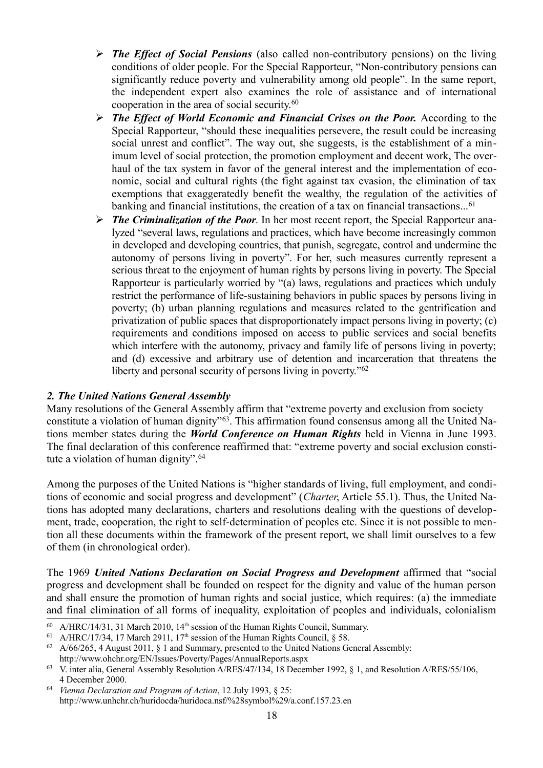- ➢ *The Effect of Social Pensions* (also called non-contributory pensions) on the living conditions of older people. For the Special Rapporteur, "Non-contributory pensions can significantly reduce poverty and vulnerability among old people". In the same report, the independent expert also examines the role of assistance and of international cooperation in the area of social security.[60](#page-17-0)
- ➢ *The Effect of World Economic and Financial Crises on the Poor.* According to the Special Rapporteur, "should these inequalities persevere, the result could be increasing social unrest and conflict". The way out, she suggests, is the establishment of a minimum level of social protection, the promotion employment and decent work, The overhaul of the tax system in favor of the general interest and the implementation of economic, social and cultural rights (the fight against tax evasion, the elimination of tax exemptions that exaggeratedly benefit the wealthy, the regulation of the activities of banking and financial institutions, the creation of a tax on financial transactions...<sup>[61](#page-17-1)</sup>
- ➢ *The Criminalization of the Poor*. In her most recent report, the Special Rapporteur analyzed "several laws, regulations and practices, which have become increasingly common in developed and developing countries, that punish, segregate, control and undermine the autonomy of persons living in poverty". For her, such measures currently represent a serious threat to the enjoyment of human rights by persons living in poverty. The Special Rapporteur is particularly worried by "(a) laws, regulations and practices which unduly restrict the performance of life-sustaining behaviors in public spaces by persons living in poverty; (b) urban planning regulations and measures related to the gentrification and privatization of public spaces that disproportionately impact persons living in poverty; (c) requirements and conditions imposed on access to public services and social benefits which interfere with the autonomy, privacy and family life of persons living in poverty; and (d) excessive and arbitrary use of detention and incarceration that threatens the liberty and personal security of persons living in poverty."<sup>[62](#page-17-2)</sup>

#### *2. The United Nations General Assembly*

Many resolutions of the General Assembly affirm that "extreme poverty and exclusion from society constitute a violation of human dignity<sup>"[63](#page-17-3)</sup>. This affirmation found consensus among all the United Nations member states during the *World Conference on Human Rights* held in Vienna in June 1993. The final declaration of this conference reaffirmed that: "extreme poverty and social exclusion consti-tute a violation of human dignity".<sup>[64](#page-17-4)</sup>

Among the purposes of the United Nations is "higher standards of living, full employment, and conditions of economic and social progress and development" (*Charter*, Article 55.1). Thus, the United Nations has adopted many declarations, charters and resolutions dealing with the questions of development, trade, cooperation, the right to self-determination of peoples etc. Since it is not possible to mention all these documents within the framework of the present report, we shall limit ourselves to a few of them (in chronological order).

The 1969 *United Nations Declaration on Social Progress and Development* affirmed that "social progress and development shall be founded on respect for the dignity and value of the human person and shall ensure the promotion of human rights and social justice, which requires: (a) the immediate and final elimination of all forms of inequality, exploitation of peoples and individuals, colonialism

<span id="page-17-0"></span> $60$  A/HRC/14/31, 31 March 2010, 14<sup>th</sup> session of the Human Rights Council, Summary.

<span id="page-17-1"></span><sup>&</sup>lt;sup>61</sup> A/HRC/17/34, 17 March 2911, 17<sup>th</sup> session of the Human Rights Council,  $\frac{8}{9}$  58.

<span id="page-17-2"></span><sup>&</sup>lt;sup>62</sup> A/66/265, 4 August 2011,  $\S$  1 and Summary, presented to the United Nations General Assembly: http://www.ohchr.org/EN/Issues/Poverty/Pages/AnnualReports.aspx

<span id="page-17-3"></span><sup>63</sup> V. inter alia, General Assembly Resolution A/RES/47/134, 18 December 1992, § 1, and Resolution A/RES/55/106, 4 December 2000.

<span id="page-17-4"></span><sup>64</sup> *Vienna Declaration and Program of Action*, 12 July 1993, § 25: http://www.unhchr.ch/huridocda/huridoca.nsf/%28symbol%29/a.conf.157.23.en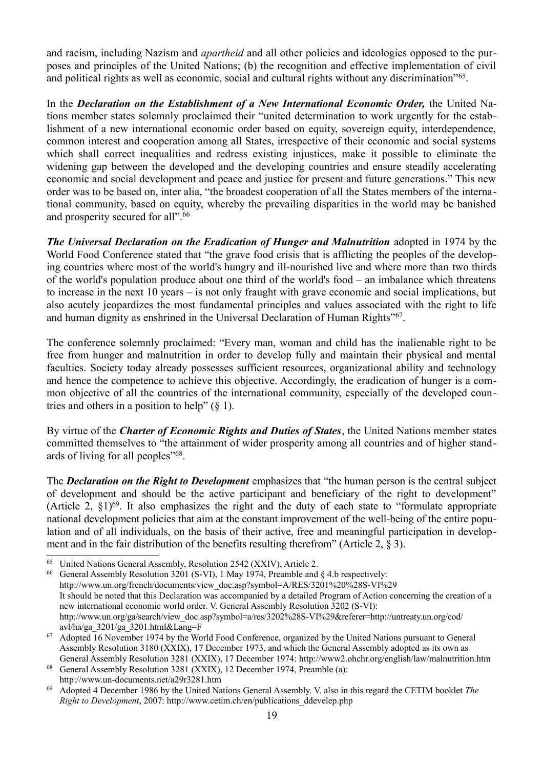and racism, including Nazism and *apartheid* and all other policies and ideologies opposed to the purposes and principles of the United Nations; (b) the recognition and effective implementation of civil and political rights as well as economic, social and cultural rights without any discrimination"<sup>[65](#page-18-0)</sup>.

In the *Declaration on the Establishment of a New International Economic Order,* the United Nations member states solemnly proclaimed their "united determination to work urgently for the establishment of a new international economic order based on equity, sovereign equity, interdependence, common interest and cooperation among all States, irrespective of their economic and social systems which shall correct inequalities and redress existing injustices, make it possible to eliminate the widening gap between the developed and the developing countries and ensure steadily accelerating economic and social development and peace and justice for present and future generations." This new order was to be based on, inter alia, "the broadest cooperation of all the States members of the international community, based on equity, whereby the prevailing disparities in the world may be banished and prosperity secured for all".[66](#page-18-1)

*The Universal Declaration on the Eradication of Hunger and Malnutrition* adopted in 1974 by the World Food Conference stated that "the grave food crisis that is afflicting the peoples of the developing countries where most of the world's hungry and ill-nourished live and where more than two thirds of the world's population produce about one third of the world's food – an imbalance which threatens to increase in the next 10 years – is not only fraught with grave economic and social implications, but also acutely jeopardizes the most fundamental principles and values associated with the right to life and human dignity as enshrined in the Universal Declaration of Human Rights"<sup>[67](#page-18-2)</sup>.

The conference solemnly proclaimed: "Every man, woman and child has the inalienable right to be free from hunger and malnutrition in order to develop fully and maintain their physical and mental faculties. Society today already possesses sufficient resources, organizational ability and technology and hence the competence to achieve this objective. Accordingly, the eradication of hunger is a common objective of all the countries of the international community, especially of the developed countries and others in a position to help"  $(\S 1)$ .

By virtue of the *Charter of Economic Rights and Duties of States*, the United Nations member states committed themselves to "the attainment of wider prosperity among all countries and of higher stand-ards of living for all peoples"<sup>[68](#page-18-3)</sup>.

The *Declaration on the Right to Development* emphasizes that "the human person is the central subject of development and should be the active participant and beneficiary of the right to development" (Article 2,  $\S$ 1)<sup>[69](#page-18-4)</sup>. It also emphasizes the right and the duty of each state to "formulate appropriate" national development policies that aim at the constant improvement of the well-being of the entire population and of all individuals, on the basis of their active, free and meaningful participation in development and in the fair distribution of the benefits resulting therefrom" (Article 2, § 3).

<span id="page-18-3"></span><sup>68</sup> General Assembly Resolution 3281 (XXIX), 12 December 1974, Preamble (a): http://www.un-documents.net/a29r3281.htm

<span id="page-18-0"></span><sup>65</sup> United Nations General Assembly, Resolution 2542 (XXIV), Article 2.

<span id="page-18-1"></span><sup>66</sup> General Assembly Resolution 3201 (S-VI), 1 May 1974, Preamble and § 4.b respectively: http://www.un.org/french/documents/view\_doc.asp?symbol=A/RES/3201%20%28S-VI%29 It should be noted that this Declaration was accompanied by a detailed Program of Action concerning the creation of a new international economic world order. V. General Assembly Resolution 3202 (S-VI): http://www.un.org/ga/search/view\_doc.asp?symbol=a/res/3202%28S-VI%29&referer=http://untreaty.un.org/cod/ avl/ha/ga\_3201/ga\_3201.html&Lang=F

<span id="page-18-2"></span><sup>67</sup> Adopted 16 November 1974 by the World Food Conference, organized by the United Nations pursuant to General Assembly Resolution 3180 (XXIX), 17 December 1973, and which the General Assembly adopted as its own as General Assembly Resolution 3281 (XXIX), 17 December 1974: http://www2.ohchr.org/english/law/malnutrition.htm

<span id="page-18-4"></span><sup>69</sup> Adopted 4 December 1986 by the United Nations General Assembly. V. also in this regard the CETIM booklet *The Right to Development*, 2007: http://www.cetim.ch/en/publications\_ddevelep.php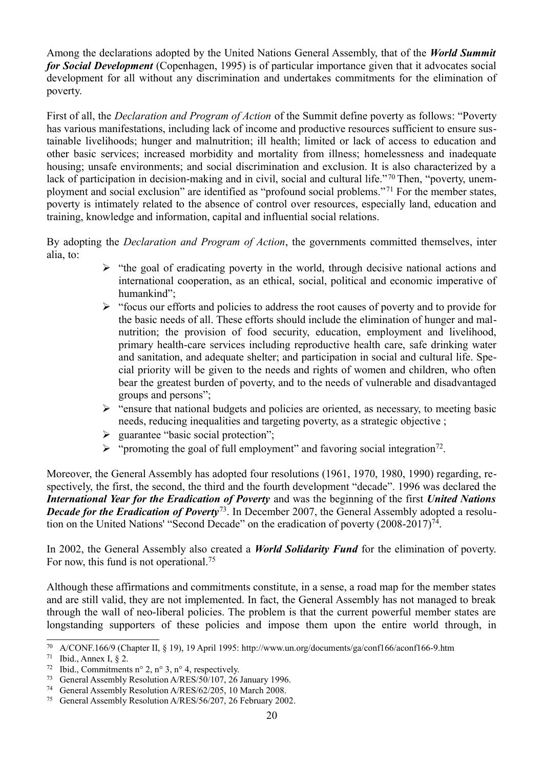Among the declarations adopted by the United Nations General Assembly, that of the *World Summit for Social Development* (Copenhagen, 1995) is of particular importance given that it advocates social development for all without any discrimination and undertakes commitments for the elimination of poverty.

First of all, the *Declaration and Program of Action* of the Summit define poverty as follows: "Poverty has various manifestations, including lack of income and productive resources sufficient to ensure sustainable livelihoods; hunger and malnutrition; ill health; limited or lack of access to education and other basic services; increased morbidity and mortality from illness; homelessness and inadequate housing; unsafe environments; and social discrimination and exclusion. It is also characterized by a lack of participation in decision-making and in civil, social and cultural life."[70](#page-19-0) Then, "poverty, unemployment and social exclusion" are identified as "profound social problems."[71](#page-19-1) For the member states, poverty is intimately related to the absence of control over resources, especially land, education and training, knowledge and information, capital and influential social relations.

By adopting the *Declaration and Program of Action*, the governments committed themselves, inter alia, to:

- $\triangleright$  "the goal of eradicating poverty in the world, through decisive national actions and international cooperation, as an ethical, social, political and economic imperative of humankind";
- ➢ "focus our efforts and policies to address the root causes of poverty and to provide for the basic needs of all. These efforts should include the elimination of hunger and malnutrition; the provision of food security, education, employment and livelihood, primary health-care services including reproductive health care, safe drinking water and sanitation, and adequate shelter; and participation in social and cultural life. Special priority will be given to the needs and rights of women and children, who often bear the greatest burden of poverty, and to the needs of vulnerable and disadvantaged groups and persons";
- $\triangleright$  "ensure that national budgets and policies are oriented, as necessary, to meeting basic needs, reducing inequalities and targeting poverty, as a strategic objective ;
- ➢ guarantee "basic social protection";
- $\triangleright$  "promoting the goal of full employment" and favoring social integration<sup>[72](#page-19-2)</sup>.

Moreover, the General Assembly has adopted four resolutions (1961, 1970, 1980, 1990) regarding, respectively, the first, the second, the third and the fourth development "decade". 1996 was declared the *International Year for the Eradication of Poverty* and was the beginning of the first *United Nations Decade for the Eradication of Poverty*<sup>[73](#page-19-3)</sup>. In December 2007, the General Assembly adopted a resolu-tion on the United Nations' "Second Decade" on the eradication of poverty (2008-2017)<sup>[74](#page-19-4)</sup>.

In 2002, the General Assembly also created a *World Solidarity Fund* for the elimination of poverty. For now, this fund is not operational.<sup>[75](#page-19-5)</sup>

Although these affirmations and commitments constitute, in a sense, a road map for the member states and are still valid, they are not implemented. In fact, the General Assembly has not managed to break through the wall of neo-liberal policies. The problem is that the current powerful member states are longstanding supporters of these policies and impose them upon the entire world through, in

<span id="page-19-0"></span><sup>70</sup> A/CONF.166/9 (Chapter II, § 19), 19 April 1995: http://www.un.org/documents/ga/conf166/aconf166-9.htm

<span id="page-19-1"></span><sup>71</sup> Ibid., Annex I,  $\S$  2.

<span id="page-19-2"></span><sup>&</sup>lt;sup>72</sup> Ibid., Commitments n° 2, n° 3, n° 4, respectively.

<span id="page-19-3"></span><sup>73</sup> General Assembly Resolution A/RES/50/107, 26 January 1996.

<span id="page-19-4"></span><sup>74</sup> General Assembly Resolution A/RES/62/205, 10 March 2008.

<span id="page-19-5"></span><sup>75</sup> General Assembly Resolution A/RES/56/207, 26 February 2002.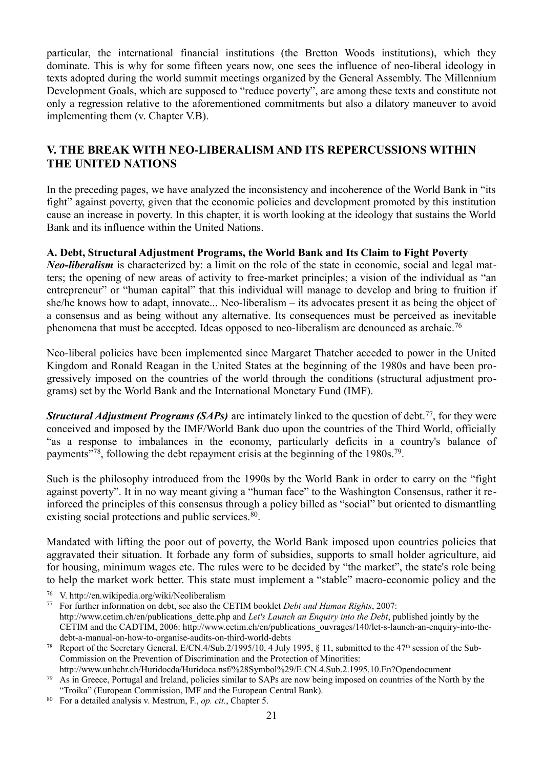particular, the international financial institutions (the Bretton Woods institutions), which they dominate. This is why for some fifteen years now, one sees the influence of neo-liberal ideology in texts adopted during the world summit meetings organized by the General Assembly. The Millennium Development Goals, which are supposed to "reduce poverty", are among these texts and constitute not only a regression relative to the aforementioned commitments but also a dilatory maneuver to avoid implementing them (v. Chapter V.B).

## **V. THE BREAK WITH NEO-LIBERALISM AND ITS REPERCUSSIONS WITHIN THE UNITED NATIONS**

In the preceding pages, we have analyzed the inconsistency and incoherence of the World Bank in "its fight" against poverty, given that the economic policies and development promoted by this institution cause an increase in poverty. In this chapter, it is worth looking at the ideology that sustains the World Bank and its influence within the United Nations.

#### **A. Debt, Structural Adjustment Programs, the World Bank and Its Claim to Fight Poverty**

*Neo-liberalism* is characterized by: a limit on the role of the state in economic, social and legal matters; the opening of new areas of activity to free-market principles; a vision of the individual as "an entrepreneur" or "human capital" that this individual will manage to develop and bring to fruition if she/he knows how to adapt, innovate... Neo-liberalism – its advocates present it as being the object of a consensus and as being without any alternative. Its consequences must be perceived as inevitable phenomena that must be accepted. Ideas opposed to neo-liberalism are denounced as archaic.<sup>[76](#page-20-0)</sup>

Neo-liberal policies have been implemented since Margaret Thatcher acceded to power in the United Kingdom and Ronald Reagan in the United States at the beginning of the 1980s and have been progressively imposed on the countries of the world through the conditions (structural adjustment programs) set by the World Bank and the International Monetary Fund (IMF).

*Structural Adjustment Programs (SAPs)* are intimately linked to the question of debt.<sup>[77](#page-20-1)</sup>, for they were conceived and imposed by the IMF/World Bank duo upon the countries of the Third World, officially "as a response to imbalances in the economy, particularly deficits in a country's balance of payments"<sup>[78](#page-20-2)</sup>, following the debt repayment crisis at the beginning of the 1980s.<sup>[79](#page-20-3)</sup>.

Such is the philosophy introduced from the 1990s by the World Bank in order to carry on the "fight against poverty". It in no way meant giving a "human face" to the Washington Consensus, rather it reinforced the principles of this consensus through a policy billed as "social" but oriented to dismantling existing social protections and public services.<sup>[80](#page-20-4)</sup>.

Mandated with lifting the poor out of poverty, the World Bank imposed upon countries policies that aggravated their situation. It forbade any form of subsidies, supports to small holder agriculture, aid for housing, minimum wages etc. The rules were to be decided by "the market", the state's role being to help the market work better. This state must implement a "stable" macro-economic policy and the

<span id="page-20-0"></span><sup>76</sup> V. http://en.wikipedia.org/wiki/Neoliberalism

<span id="page-20-1"></span><sup>77</sup> For further information on debt, see also the CETIM booklet *Debt and Human Rights*, 2007: http://www.cetim.ch/en/publications\_dette.php and *Let's Launch an Enquiry into the Debt*, published jointly by the CETIM and the CADTIM, 2006: http://www.cetim.ch/en/publications\_ouvrages/140/let-s-launch-an-enquiry-into-thedebt-a-manual-on-how-to-organise-audits-on-third-world-debts

<span id="page-20-2"></span><sup>&</sup>lt;sup>78</sup> Report of the Secretary General, E/CN.4/Sub.2/1995/10, 4 July 1995, § 11, submitted to the 47<sup>th</sup> session of the Sub-Commission on the Prevention of Discrimination and the Protection of Minorities: http://www.unhchr.ch/Huridocda/Huridoca.nsf/%28Symbol%29/E.CN.4.Sub.2.1995.10.En?Opendocument

<span id="page-20-3"></span><sup>79</sup> As in Greece, Portugal and Ireland, policies similar to SAPs are now being imposed on countries of the North by the "Troika" (European Commission, IMF and the European Central Bank).

<span id="page-20-4"></span><sup>80</sup> For a detailed analysis v. Mestrum, F., *op. cit.*, Chapter 5.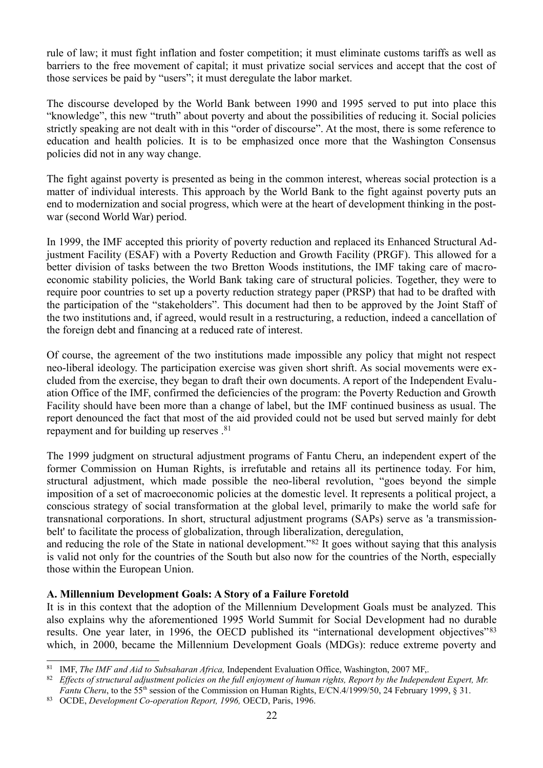rule of law; it must fight inflation and foster competition; it must eliminate customs tariffs as well as barriers to the free movement of capital; it must privatize social services and accept that the cost of those services be paid by "users"; it must deregulate the labor market.

The discourse developed by the World Bank between 1990 and 1995 served to put into place this "knowledge", this new "truth" about poverty and about the possibilities of reducing it. Social policies strictly speaking are not dealt with in this "order of discourse". At the most, there is some reference to education and health policies. It is to be emphasized once more that the Washington Consensus policies did not in any way change.

The fight against poverty is presented as being in the common interest, whereas social protection is a matter of individual interests. This approach by the World Bank to the fight against poverty puts an end to modernization and social progress, which were at the heart of development thinking in the postwar (second World War) period.

In 1999, the IMF accepted this priority of poverty reduction and replaced its Enhanced Structural Adjustment Facility (ESAF) with a Poverty Reduction and Growth Facility (PRGF). This allowed for a better division of tasks between the two Bretton Woods institutions, the IMF taking care of macroeconomic stability policies, the World Bank taking care of structural policies. Together, they were to require poor countries to set up a poverty reduction strategy paper (PRSP) that had to be drafted with the participation of the "stakeholders". This document had then to be approved by the Joint Staff of the two institutions and, if agreed, would result in a restructuring, a reduction, indeed a cancellation of the foreign debt and financing at a reduced rate of interest.

Of course, the agreement of the two institutions made impossible any policy that might not respect neo-liberal ideology. The participation exercise was given short shrift. As social movements were excluded from the exercise, they began to draft their own documents. A report of the Independent Evaluation Office of the IMF, confirmed the deficiencies of the program: the Poverty Reduction and Growth Facility should have been more than a change of label, but the IMF continued business as usual. The report denounced the fact that most of the aid provided could not be used but served mainly for debt repayment and for building up reserves .[81](#page-21-0)

The 1999 judgment on structural adjustment programs of Fantu Cheru, an independent expert of the former Commission on Human Rights, is irrefutable and retains all its pertinence today. For him, structural adjustment, which made possible the neo-liberal revolution, "goes beyond the simple imposition of a set of macroeconomic policies at the domestic level. It represents a political project, a conscious strategy of social transformation at the global level, primarily to make the world safe for transnational corporations. In short, structural adjustment programs (SAPs) serve as 'a transmissionbelt' to facilitate the process of globalization, through liberalization, deregulation,

and reducing the role of the State in national development."[82](#page-21-1) It goes without saying that this analysis is valid not only for the countries of the South but also now for the countries of the North, especially those within the European Union.

#### **A. Millennium Development Goals: A Story of a Failure Foretold**

It is in this context that the adoption of the Millennium Development Goals must be analyzed. This also explains why the aforementioned 1995 World Summit for Social Development had no durable results. One year later, in 1996, the OECD published its "international development objectives"[83](#page-21-2) which, in 2000, became the Millennium Development Goals (MDGs): reduce extreme poverty and

<span id="page-21-0"></span><sup>81</sup> IMF, *The IMF and Aid to Subsaharan Africa,* Independent Evaluation Office, Washington, 2007 MF,.

<span id="page-21-1"></span><sup>82</sup> *Effects of structural adjustment policies on the full enjoyment of human rights, Report by the Independent Expert, Mr. Fantu Cheru*, to the 55<sup>th</sup> session of the Commission on Human Rights, E/CN.4/1999/50, 24 February 1999, § 31.

<span id="page-21-2"></span><sup>83</sup> OCDE, *Development Co-operation Report, 1996,* OECD, Paris, 1996.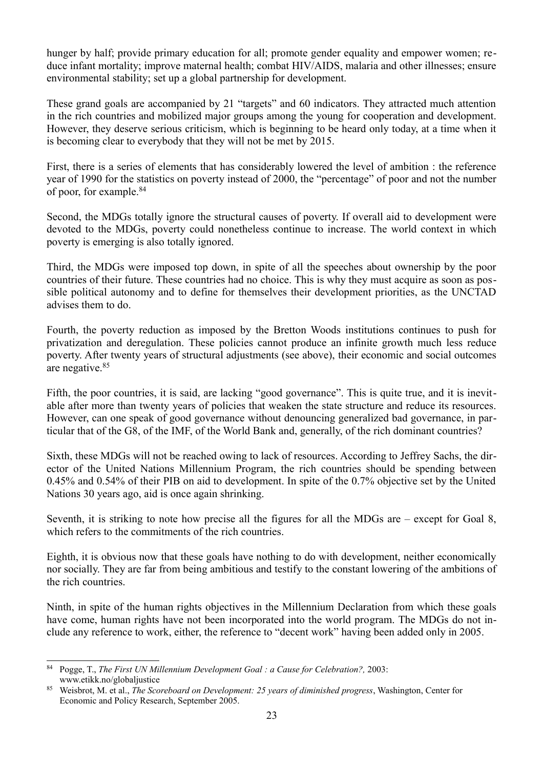hunger by half; provide primary education for all; promote gender equality and empower women; reduce infant mortality; improve maternal health; combat HIV/AIDS, malaria and other illnesses; ensure environmental stability; set up a global partnership for development.

These grand goals are accompanied by 21 "targets" and 60 indicators. They attracted much attention in the rich countries and mobilized major groups among the young for cooperation and development. However, they deserve serious criticism, which is beginning to be heard only today, at a time when it is becoming clear to everybody that they will not be met by 2015.

First, there is a series of elements that has considerably lowered the level of ambition : the reference year of 1990 for the statistics on poverty instead of 2000, the "percentage" of poor and not the number of poor, for example.[84](#page-22-0)

Second, the MDGs totally ignore the structural causes of poverty. If overall aid to development were devoted to the MDGs, poverty could nonetheless continue to increase. The world context in which poverty is emerging is also totally ignored.

Third, the MDGs were imposed top down, in spite of all the speeches about ownership by the poor countries of their future. These countries had no choice. This is why they must acquire as soon as possible political autonomy and to define for themselves their development priorities, as the UNCTAD advises them to do.

Fourth, the poverty reduction as imposed by the Bretton Woods institutions continues to push for privatization and deregulation. These policies cannot produce an infinite growth much less reduce poverty. After twenty years of structural adjustments (see above), their economic and social outcomes are negative.[85](#page-22-1)

Fifth, the poor countries, it is said, are lacking "good governance". This is quite true, and it is inevitable after more than twenty years of policies that weaken the state structure and reduce its resources. However, can one speak of good governance without denouncing generalized bad governance, in particular that of the G8, of the IMF, of the World Bank and, generally, of the rich dominant countries?

Sixth, these MDGs will not be reached owing to lack of resources. According to Jeffrey Sachs, the director of the United Nations Millennium Program, the rich countries should be spending between 0.45% and 0.54% of their PIB on aid to development. In spite of the 0.7% objective set by the United Nations 30 years ago, aid is once again shrinking.

Seventh, it is striking to note how precise all the figures for all the MDGs are – except for Goal 8, which refers to the commitments of the rich countries.

Eighth, it is obvious now that these goals have nothing to do with development, neither economically nor socially. They are far from being ambitious and testify to the constant lowering of the ambitions of the rich countries.

Ninth, in spite of the human rights objectives in the Millennium Declaration from which these goals have come, human rights have not been incorporated into the world program. The MDGs do not include any reference to work, either, the reference to "decent work" having been added only in 2005.

<span id="page-22-0"></span><sup>84</sup> Pogge, T., *The First UN Millennium Development Goal : a Cause for Celebration?,* 2003: www.etikk.no/globaljustice

<span id="page-22-1"></span><sup>85</sup> Weisbrot, M. et al., *The Scoreboard on Development: 25 years of diminished progress*, Washington, Center for Economic and Policy Research, September 2005.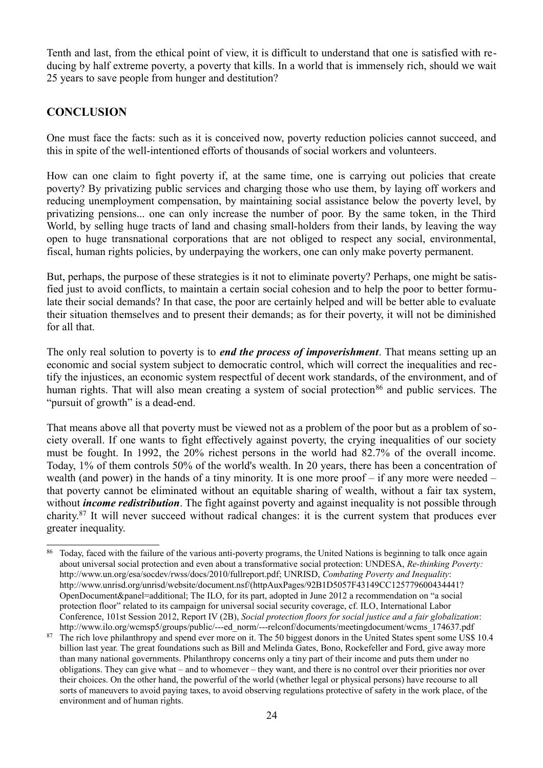Tenth and last, from the ethical point of view, it is difficult to understand that one is satisfied with reducing by half extreme poverty, a poverty that kills. In a world that is immensely rich, should we wait 25 years to save people from hunger and destitution?

## **CONCLUSION**

One must face the facts: such as it is conceived now, poverty reduction policies cannot succeed, and this in spite of the well-intentioned efforts of thousands of social workers and volunteers.

How can one claim to fight poverty if, at the same time, one is carrying out policies that create poverty? By privatizing public services and charging those who use them, by laying off workers and reducing unemployment compensation, by maintaining social assistance below the poverty level, by privatizing pensions... one can only increase the number of poor. By the same token, in the Third World, by selling huge tracts of land and chasing small-holders from their lands, by leaving the way open to huge transnational corporations that are not obliged to respect any social, environmental, fiscal, human rights policies, by underpaying the workers, one can only make poverty permanent.

But, perhaps, the purpose of these strategies is it not to eliminate poverty? Perhaps, one might be satisfied just to avoid conflicts, to maintain a certain social cohesion and to help the poor to better formulate their social demands? In that case, the poor are certainly helped and will be better able to evaluate their situation themselves and to present their demands; as for their poverty, it will not be diminished for all that.

The only real solution to poverty is to *end the process of impoverishment*. That means setting up an economic and social system subject to democratic control, which will correct the inequalities and rectify the injustices, an economic system respectful of decent work standards, of the environment, and of human rights. That will also mean creating a system of social protection<sup>[86](#page-23-0)</sup> and public services. The "pursuit of growth" is a dead-end.

That means above all that poverty must be viewed not as a problem of the poor but as a problem of society overall. If one wants to fight effectively against poverty, the crying inequalities of our society must be fought. In 1992, the 20% richest persons in the world had 82.7% of the overall income. Today, 1% of them controls 50% of the world's wealth. In 20 years, there has been a concentration of wealth (and power) in the hands of a tiny minority. It is one more proof – if any more were needed – that poverty cannot be eliminated without an equitable sharing of wealth, without a fair tax system, without *income redistribution*. The fight against poverty and against inequality is not possible through charity.[87](#page-23-1) It will never succeed without radical changes: it is the current system that produces ever greater inequality.

<span id="page-23-0"></span>Today, faced with the failure of the various anti-poverty programs, the United Nations is beginning to talk once again about universal social protection and even about a transformative social protection: UNDESA, *Re-thinking Poverty:* http://www.un.org/esa/socdev/rwss/docs/2010/fullreport.pdf; UNRISD, *Combating Poverty and Inequality*: http://www.unrisd.org/unrisd/website/document.nsf/(httpAuxPages/92B1D5057F43149CC125779600434441? OpenDocument&panel=additional; The ILO, for its part, adopted in June 2012 a recommendation on "a social protection floor" related to its campaign for universal social security coverage, cf. ILO, International Labor Conference, 101st Session 2012, Report IV (2B), *Social protection floors for social justice and a fair globalization*: http://www.ilo.org/wcmsp5/groups/public/---ed\_norm/---relconf/documents/meetingdocument/wcms\_174637.pdf

<span id="page-23-1"></span><sup>&</sup>lt;sup>87</sup> The rich love philanthropy and spend ever more on it. The 50 biggest donors in the United States spent some US\$ 10.4 billion last year. The great foundations such as Bill and Melinda Gates, Bono, Rockefeller and Ford, give away more than many national governments. Philanthropy concerns only a tiny part of their income and puts them under no obligations. They can give what – and to whomever – they want, and there is no control over their priorities nor over their choices. On the other hand, the powerful of the world (whether legal or physical persons) have recourse to all sorts of maneuvers to avoid paying taxes, to avoid observing regulations protective of safety in the work place, of the environment and of human rights.